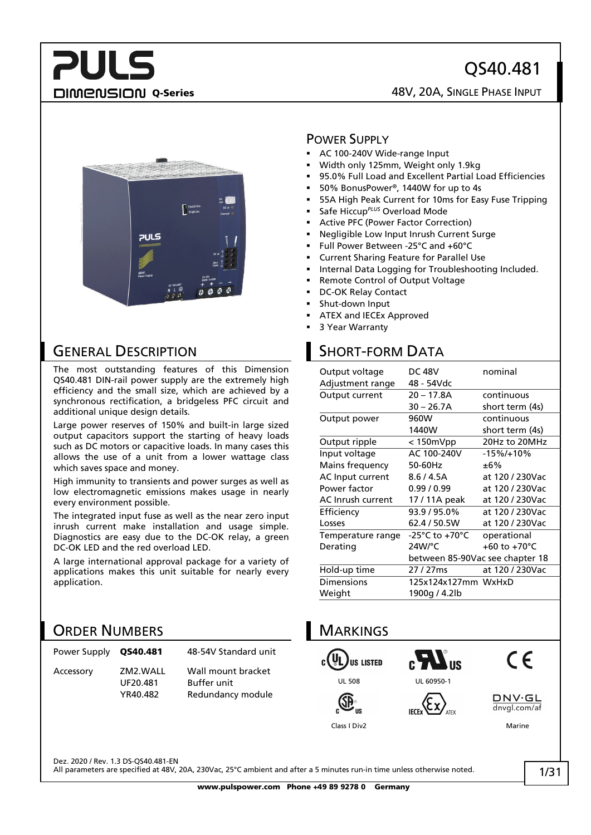## QS40.481

**DIMENSION Q-Series CONSIGING A SINGLE PHASE INPUT** 



## GENERAL DESCRIPTION

**PULS** 

The most outstanding features of this Dimension QS40.481 DIN-rail power supply are the extremely high efficiency and the small size, which are achieved by a synchronous rectification, a bridgeless PFC circuit and additional unique design details.

Large power reserves of 150% and built-in large sized output capacitors support the starting of heavy loads such as DC motors or capacitive loads. In many cases this allows the use of a unit from a lower wattage class which saves space and money.

High immunity to transients and power surges as well as low electromagnetic emissions makes usage in nearly every environment possible.

The integrated input fuse as well as the near zero input inrush current make installation and usage simple. Diagnostics are easy due to the DC-OK relay, a green DC-OK LED and the red overload LED.

A large international approval package for a variety of applications makes this unit suitable for nearly every application.

## ORDER NUMBERS

| Power Supply QS40.481 |                                  | 48-54V Standard unit                                          |
|-----------------------|----------------------------------|---------------------------------------------------------------|
| Accessory             | ZM2.WALL<br>UF20.481<br>YR40.482 | Wall mount bracket<br><b>Buffer unit</b><br>Redundancy module |

#### POWER SUPPLY

- AC 100-240V Wide-range Input
- Width only 125mm, Weight only 1.9kg
- 95.0% Full Load and Excellent Partial Load Efficiencies
- 50% BonusPower®, 1440W for up to 4s
- 55A High Peak Current for 10ms for Easy Fuse Tripping
- Safe Hiccup*PLUS* Overload Mode
- Active PFC (Power Factor Correction)
- Negligible Low Input Inrush Current Surge
- Full Power Between -25°C and +60°C
- Current Sharing Feature for Parallel Use
- Internal Data Logging for Troubleshooting Included.
- Remote Control of Output Voltage
- DC-OK Relay Contact
- Shut-down Input
- ATEX and IECEx Approved
- 3 Year Warranty

## SHORT-FORM DATA

| Adjustment range<br>48 - 54Vdc<br>20 – 17.8A<br>continuous<br>Output current<br>30 – 26.7A<br>short term (4s)<br>continuous<br>960W<br>Output power<br>1440W<br>short term (4s)<br>Output ripple<br>$< 150$ m $Vpp$<br>20Hz to 20MHz<br>Input voltage<br>AC 100-240V<br>$-15\%/+10\%$<br>Mains frequency<br>50-60Hz<br>±6%<br>AC Input current<br>8.6 / 4.5A<br>at 120 / 230Vac<br>Power factor<br>0.99/0.99<br>at 120 / 230Vac<br>AC Inrush current<br>at 120 / 230Vac<br>17 / 11A peak<br>Efficiency<br>93.9 / 95.0%<br>at 120 / 230Vac<br>62.4 / 50.5W<br>at 120 / 230Vac<br>Losses<br>$-25^{\circ}$ C to $+70^{\circ}$ C<br>operational<br>Temperature range<br>24W/°C<br>+60 to +70 $^{\circ}$ C<br>Derating<br>between 85-90Vac see chapter 18<br>Hold-up time<br>at 120 / 230Vac<br>27 / 27 ms<br>Dimensions<br>125x124x127mm WxHxD<br>Weight<br>1900g / 4.2lb | Output voltage | <b>DC 48V</b> | nominal |
|-----------------------------------------------------------------------------------------------------------------------------------------------------------------------------------------------------------------------------------------------------------------------------------------------------------------------------------------------------------------------------------------------------------------------------------------------------------------------------------------------------------------------------------------------------------------------------------------------------------------------------------------------------------------------------------------------------------------------------------------------------------------------------------------------------------------------------------------------------------------------|----------------|---------------|---------|
|                                                                                                                                                                                                                                                                                                                                                                                                                                                                                                                                                                                                                                                                                                                                                                                                                                                                       |                |               |         |
|                                                                                                                                                                                                                                                                                                                                                                                                                                                                                                                                                                                                                                                                                                                                                                                                                                                                       |                |               |         |
|                                                                                                                                                                                                                                                                                                                                                                                                                                                                                                                                                                                                                                                                                                                                                                                                                                                                       |                |               |         |
|                                                                                                                                                                                                                                                                                                                                                                                                                                                                                                                                                                                                                                                                                                                                                                                                                                                                       |                |               |         |
|                                                                                                                                                                                                                                                                                                                                                                                                                                                                                                                                                                                                                                                                                                                                                                                                                                                                       |                |               |         |
|                                                                                                                                                                                                                                                                                                                                                                                                                                                                                                                                                                                                                                                                                                                                                                                                                                                                       |                |               |         |
|                                                                                                                                                                                                                                                                                                                                                                                                                                                                                                                                                                                                                                                                                                                                                                                                                                                                       |                |               |         |
|                                                                                                                                                                                                                                                                                                                                                                                                                                                                                                                                                                                                                                                                                                                                                                                                                                                                       |                |               |         |
|                                                                                                                                                                                                                                                                                                                                                                                                                                                                                                                                                                                                                                                                                                                                                                                                                                                                       |                |               |         |
|                                                                                                                                                                                                                                                                                                                                                                                                                                                                                                                                                                                                                                                                                                                                                                                                                                                                       |                |               |         |
|                                                                                                                                                                                                                                                                                                                                                                                                                                                                                                                                                                                                                                                                                                                                                                                                                                                                       |                |               |         |
|                                                                                                                                                                                                                                                                                                                                                                                                                                                                                                                                                                                                                                                                                                                                                                                                                                                                       |                |               |         |
|                                                                                                                                                                                                                                                                                                                                                                                                                                                                                                                                                                                                                                                                                                                                                                                                                                                                       |                |               |         |
|                                                                                                                                                                                                                                                                                                                                                                                                                                                                                                                                                                                                                                                                                                                                                                                                                                                                       |                |               |         |
|                                                                                                                                                                                                                                                                                                                                                                                                                                                                                                                                                                                                                                                                                                                                                                                                                                                                       |                |               |         |
|                                                                                                                                                                                                                                                                                                                                                                                                                                                                                                                                                                                                                                                                                                                                                                                                                                                                       |                |               |         |
|                                                                                                                                                                                                                                                                                                                                                                                                                                                                                                                                                                                                                                                                                                                                                                                                                                                                       |                |               |         |
|                                                                                                                                                                                                                                                                                                                                                                                                                                                                                                                                                                                                                                                                                                                                                                                                                                                                       |                |               |         |
|                                                                                                                                                                                                                                                                                                                                                                                                                                                                                                                                                                                                                                                                                                                                                                                                                                                                       |                |               |         |



Dez. 2020 / Rev. 1.3 DS-QS40.481-EN

All parameters are specified at 48V, 20A, 230Vac, 25°C ambient and after a 5 minutes run-in time unless otherwise noted.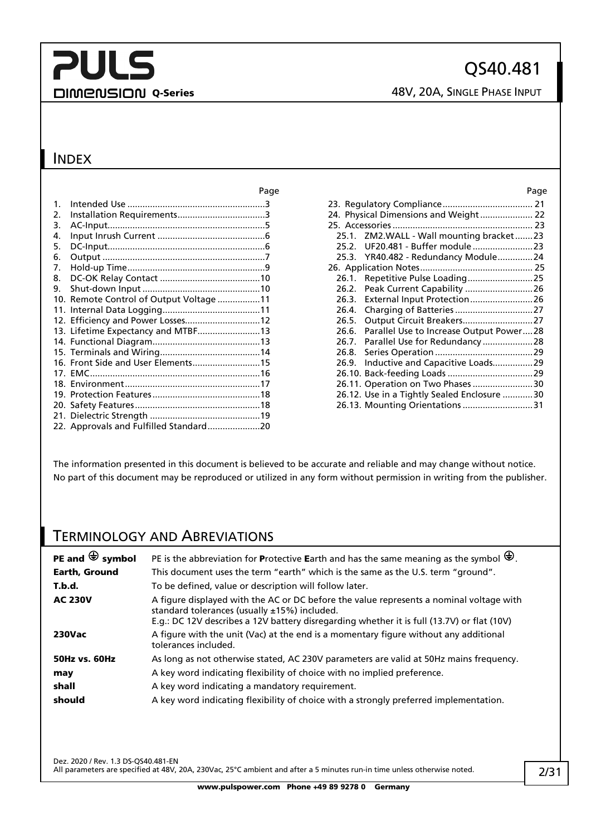## **PULS** DIMENSION Q-Series 48V, 20A, SINGLE PHASE INPUT

### INDEX

|                |                                         | г ач |
|----------------|-----------------------------------------|------|
| $\mathbf{1}$ . |                                         |      |
| 2.             |                                         |      |
| 3.             |                                         |      |
| 4.             |                                         |      |
| 5.             |                                         |      |
| 6.             |                                         |      |
| 7.             |                                         |      |
| 8.             |                                         |      |
| 9.             |                                         |      |
|                | 10. Remote Control of Output Voltage 11 |      |
|                |                                         |      |
|                | 12. Efficiency and Power Losses12       |      |
|                |                                         |      |
|                |                                         |      |
|                |                                         |      |
|                | 16. Front Side and User Elements15      |      |
|                |                                         |      |
|                |                                         |      |
|                |                                         |      |
|                |                                         |      |
|                |                                         |      |
|                |                                         |      |

| Page  | Page                                          |
|-------|-----------------------------------------------|
| . 3   |                                               |
| . . 3 | 24. Physical Dimensions and Weight 22         |
| . . 5 |                                               |
| . . 6 | 25.1. ZM2.WALL - Wall mounting bracket23      |
| . . 6 |                                               |
| . 7   | 25.3. YR40.482 - Redundancy Module24          |
| . . 9 |                                               |
| .10   |                                               |
| .10   | 26.2. Peak Current Capability  26             |
| .11   |                                               |
| .11   |                                               |
| .12   |                                               |
| .13   | 26.6. Parallel Use to Increase Output Power28 |
| .13   |                                               |
| .14   | 26.8.                                         |
| .15   |                                               |
| .16   |                                               |
| .17   | 26.11. Operation on Two Phases 30             |
| .18   | 26.12. Use in a Tightly Sealed Enclosure 30   |
| .18   | 26.13. Mounting Orientations 31               |
|       |                                               |

The information presented in this document is believed to be accurate and reliable and may change without notice. No part of this document may be reproduced or utilized in any form without permission in writing from the publisher.

## TERMINOLOGY AND ABREVIATIONS

| PE and $\bigoplus$ symbol | PE is the abbreviation for Protective Earth and has the same meaning as the symbol $\bigoplus$ .                                                                                                                                      |
|---------------------------|---------------------------------------------------------------------------------------------------------------------------------------------------------------------------------------------------------------------------------------|
| <b>Earth, Ground</b>      | This document uses the term "earth" which is the same as the U.S. term "ground".                                                                                                                                                      |
| T.b.d.                    | To be defined, value or description will follow later.                                                                                                                                                                                |
| <b>AC 230V</b>            | A figure displayed with the AC or DC before the value represents a nominal voltage with<br>standard tolerances (usually ±15%) included.<br>E.g.: DC 12V describes a 12V battery disregarding whether it is full (13.7V) or flat (10V) |
| <b>230Vac</b>             | A figure with the unit (Vac) at the end is a momentary figure without any additional<br>tolerances included.                                                                                                                          |
| <b>50Hz vs. 60Hz</b>      | As long as not otherwise stated, AC 230V parameters are valid at 50Hz mains frequency.                                                                                                                                                |
| may                       | A key word indicating flexibility of choice with no implied preference.                                                                                                                                                               |
| shall                     | A key word indicating a mandatory requirement.                                                                                                                                                                                        |
| should                    | A key word indicating flexibility of choice with a strongly preferred implementation.                                                                                                                                                 |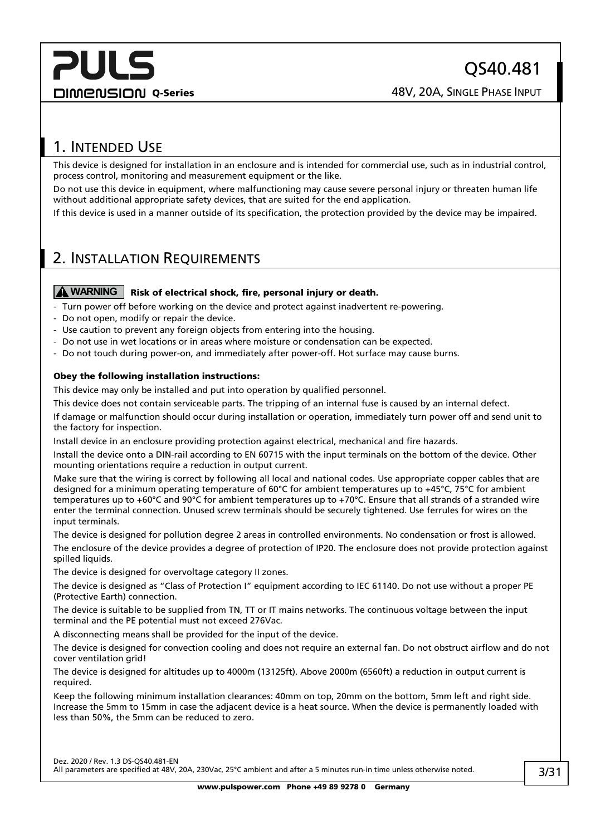## <span id="page-2-0"></span>1. INTENDED USE

This device is designed for installation in an enclosure and is intended for commercial use, such as in industrial control, process control, monitoring and measurement equipment or the like.

Do not use this device in equipment, where malfunctioning may cause severe personal injury or threaten human life without additional appropriate safety devices, that are suited for the end application.

If this device is used in a manner outside of its specification, the protection provided by the device may be impaired.

## <span id="page-2-1"></span>2. INSTALLATION REQUIREMENTS

#### **A** WARNING | Risk of electrical shock, fire, personal injury or death.

- Turn power off before working on the device and protect against inadvertent re-powering.
- Do not open, modify or repair the device.
- Use caution to prevent any foreign objects from entering into the housing.
- Do not use in wet locations or in areas where moisture or condensation can be expected.
- Do not touch during power-on, and immediately after power-off. Hot surface may cause burns.

#### Obey the following installation instructions:

This device may only be installed and put into operation by qualified personnel.

This device does not contain serviceable parts. The tripping of an internal fuse is caused by an internal defect.

If damage or malfunction should occur during installation or operation, immediately turn power off and send unit to the factory for inspection.

Install device in an enclosure providing protection against electrical, mechanical and fire hazards.

Install the device onto a DIN-rail according to EN 60715 with the input terminals on the bottom of the device. Other mounting orientations require a reduction in output current.

Make sure that the wiring is correct by following all local and national codes. Use appropriate copper cables that are designed for a minimum operating temperature of 60°C for ambient temperatures up to +45°C, 75°C for ambient temperatures up to +60°C and 90°C for ambient temperatures up to +70°C. Ensure that all strands of a stranded wire enter the terminal connection. Unused screw terminals should be securely tightened. Use ferrules for wires on the input terminals.

The device is designed for pollution degree 2 areas in controlled environments. No condensation or frost is allowed. The enclosure of the device provides a degree of protection of IP20. The enclosure does not provide protection against

The device is designed for overvoltage category II zones.

spilled liquids.

The device is designed as "Class of Protection I" equipment according to IEC 61140. Do not use without a proper PE (Protective Earth) connection.

The device is suitable to be supplied from TN, TT or IT mains networks. The continuous voltage between the input terminal and the PE potential must not exceed 276Vac.

A disconnecting means shall be provided for the input of the device.

The device is designed for convection cooling and does not require an external fan. Do not obstruct airflow and do not cover ventilation grid!

The device is designed for altitudes up to 4000m (13125ft). Above 2000m (6560ft) a reduction in output current is required.

Keep the following minimum installation clearances: 40mm on top, 20mm on the bottom, 5mm left and right side. Increase the 5mm to 15mm in case the adjacent device is a heat source. When the device is permanently loaded with less than 50%, the 5mm can be reduced to zero.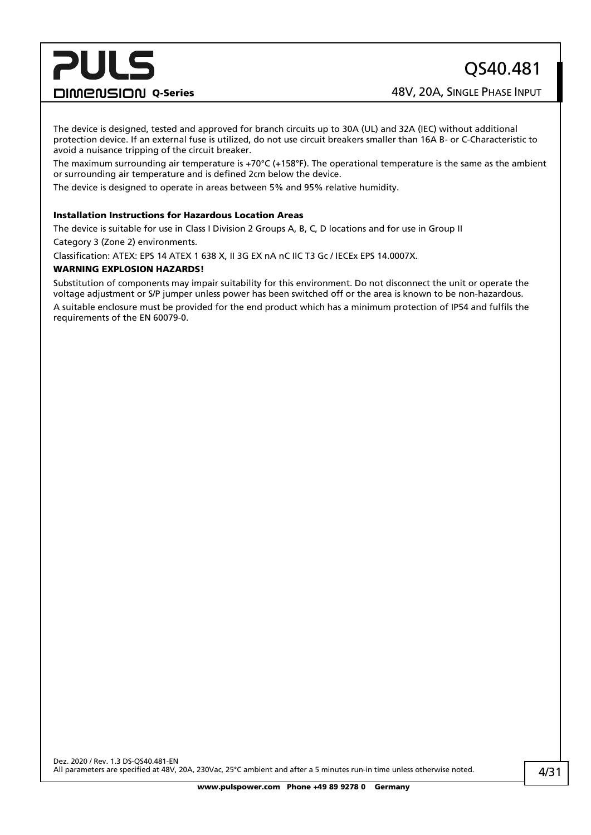**DIMENSION Q-Series ABOUT ABOUT A SINGLE PHASE INPUT** 

The device is designed, tested and approved for branch circuits up to 30A (UL) and 32A (IEC) without additional protection device. If an external fuse is utilized, do not use circuit breakers smaller than 16A B- or C-Characteristic to avoid a nuisance tripping of the circuit breaker.

The maximum surrounding air temperature is +70 $^{\circ}$ C (+158 $^{\circ}$ F). The operational temperature is the same as the ambient or surrounding air temperature and is defined 2cm below the device.

The device is designed to operate in areas between 5% and 95% relative humidity.

#### Installation Instructions for Hazardous Location Areas

The device is suitable for use in Class I Division 2 Groups A, B, C, D locations and for use in Group II Category 3 (Zone 2) environments.

Classification: ATEX: EPS 14 ATEX 1 638 X, II 3G EX nA nC IIC T3 Gc / IECEx EPS 14.0007X.

#### WARNING EXPLOSION HAZARDS!

Substitution of components may impair suitability for this environment. Do not disconnect the unit or operate the voltage adjustment or S/P jumper unless power has been switched off or the area is known to be non-hazardous. A suitable enclosure must be provided for the end product which has a minimum protection of IP54 and fulfils the requirements of the EN 60079-0.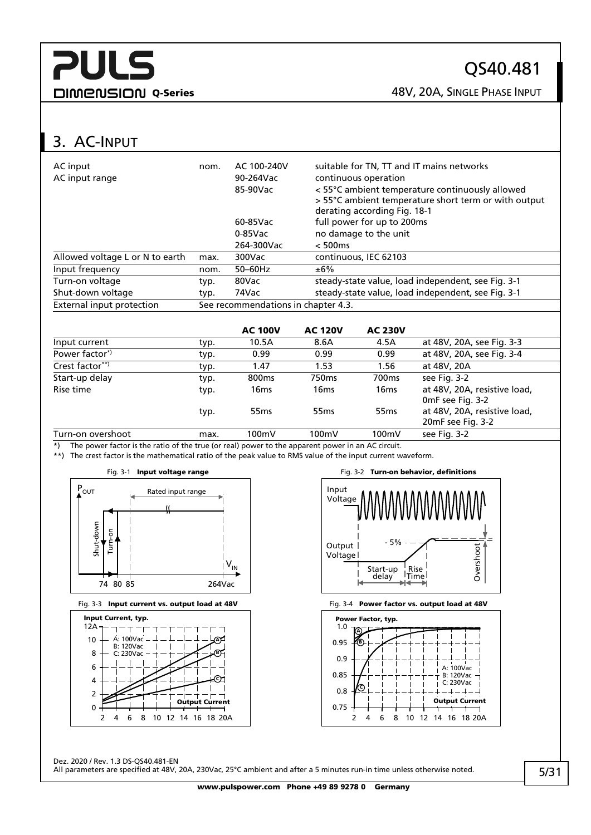## QS40.481

DIMENSION Q-Series 28V, 20A, SINGLE PHASE INPUT

## <span id="page-4-0"></span>3. AC-INPUT

| AC input<br>AC input range      | nom.        | AC 100-240V<br>90-264Vac<br>85-90Vac | suitable for TN, TT and IT mains networks<br>continuous operation<br>< 55°C ambient temperature continuously allowed<br>> 55°C ambient temperature short term or with output<br>derating according Fig. 18-1 |                            |                                                    |  |  |
|---------------------------------|-------------|--------------------------------------|--------------------------------------------------------------------------------------------------------------------------------------------------------------------------------------------------------------|----------------------------|----------------------------------------------------|--|--|
|                                 |             | 60-85Vac                             |                                                                                                                                                                                                              | full power for up to 200ms |                                                    |  |  |
|                                 |             | $0-85$ Vac                           |                                                                                                                                                                                                              | no damage to the unit      |                                                    |  |  |
|                                 |             | 264-300Vac                           | < 500ms                                                                                                                                                                                                      |                            |                                                    |  |  |
| Allowed voltage L or N to earth | max.        | 300Vac                               |                                                                                                                                                                                                              | continuous, IEC 62103      |                                                    |  |  |
| Input frequency                 | nom.        | 50-60Hz                              | ±6%                                                                                                                                                                                                          |                            |                                                    |  |  |
| Turn-on voltage                 | typ.        | 80Vac                                |                                                                                                                                                                                                              |                            | steady-state value, load independent, see Fig. 3-1 |  |  |
| Shut-down voltage               | typ.        | 74Vac                                |                                                                                                                                                                                                              |                            | steady-state value, load independent, see Fig. 3-1 |  |  |
| External input protection       |             | See recommendations in chapter 4.3.  |                                                                                                                                                                                                              |                            |                                                    |  |  |
|                                 |             |                                      |                                                                                                                                                                                                              |                            |                                                    |  |  |
|                                 |             | <b>AC 100V</b>                       | <b>AC 120V</b>                                                                                                                                                                                               | <b>AC 230V</b>             |                                                    |  |  |
| Input current                   | typ.        | 10.5A                                | 8.6A                                                                                                                                                                                                         | 4.5A                       | at 48V, 20A, see Fig. 3-3                          |  |  |
| Power factor <sup>*</sup>       | typ.        | 0.99                                 | 0.99                                                                                                                                                                                                         | 0.99                       | at 48V, 20A, see Fig. 3-4                          |  |  |
| $C$ $(0.001 + 0.000 + 0.000)$   | $+ \cdot -$ | 1.17                                 | 1 E D                                                                                                                                                                                                        | $1 \, \text{F}$ $\sigma$   | $-+ 1011 201$                                      |  |  |

| Crest factor**) | typ. | 1.47              | 1.53             | 1.56              | at 48V, 20A                                       |
|-----------------|------|-------------------|------------------|-------------------|---------------------------------------------------|
| Start-up delay  | typ. | 800 <sub>ms</sub> | 750ms            | 700 <sub>ms</sub> | see Fig. 3-2                                      |
| Rise time       | typ. | 16ms              | 16ms             | 16 <sub>ms</sub>  | at 48V, 20A, resistive load,<br>OmF see Fig. 3-2  |
|                 | typ. | 55 <sub>ms</sub>  | 55 <sub>ms</sub> | 55 <sub>ms</sub>  | at 48V, 20A, resistive load,<br>20mF see Fig. 3-2 |

Turn-on overshoot max. 100mV 100mV 100mV se[e Fig. 3-2](#page-4-4)  $\overline{\text{A}}$ ) The power factor is the ratio of the true (or real) power to the apparent power in an AC circuit.

\*\*) The crest factor is the mathematical ratio of the peak value to RMS value of the input current waveform.

<span id="page-4-1"></span>

<span id="page-4-2"></span>





<span id="page-4-4"></span>

<span id="page-4-3"></span>

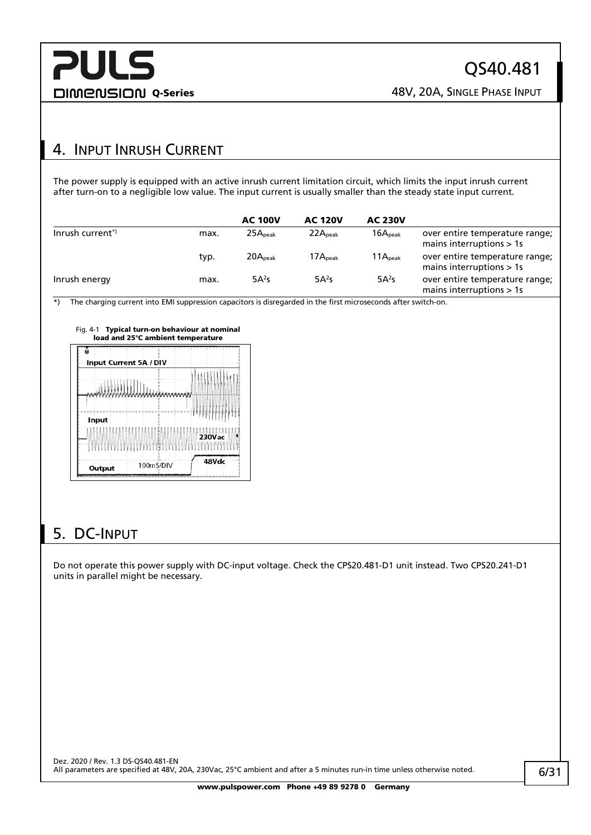## <span id="page-5-0"></span>4. INPUT INRUSH CURRENT

The power supply is equipped with an active inrush current limitation circuit, which limits the input inrush current after turn-on to a negligible low value. The input current is usually smaller than the steady state input current.

|                             |      | <b>AC 100V</b>      | <b>AC 120V</b>      | <b>AC 230V</b>      |                                                              |
|-----------------------------|------|---------------------|---------------------|---------------------|--------------------------------------------------------------|
| Inrush current <sup>*</sup> | max. | 25A <sub>peak</sub> | 22A <sub>peak</sub> | 16A <sub>peak</sub> | over entire temperature range;<br>mains interruptions $> 1s$ |
|                             | typ. | 20A <sub>peak</sub> | 17A <sub>peak</sub> | 11A <sub>peak</sub> | over entire temperature range;<br>mains interruptions > 1s   |
| Inrush energy               | max. | $5A^2s$             | 5A <sup>2</sup> S   | $5A^2s$             | over entire temperature range;<br>mains interruptions $> 1s$ |

 $\overline{\bullet}$ ) The charging current into EMI suppression capacitors is disregarded in the first microseconds after switch-on.



| $\label{eq:4} \qquad \qquad \downarrow \qquad \qquad \downarrow \qquad \qquad \downarrow$ |           |               |  |
|-------------------------------------------------------------------------------------------|-----------|---------------|--|
| Input                                                                                     |           | <b>230Vac</b> |  |
| Output                                                                                    | 100mS/DIV | 48Vdc         |  |

## <span id="page-5-1"></span>5. DC-INPUT

Do not operate this power supply with DC-input voltage. Check the CPS20.481-D1 unit instead. Two CPS20.241-D1 units in parallel might be necessary.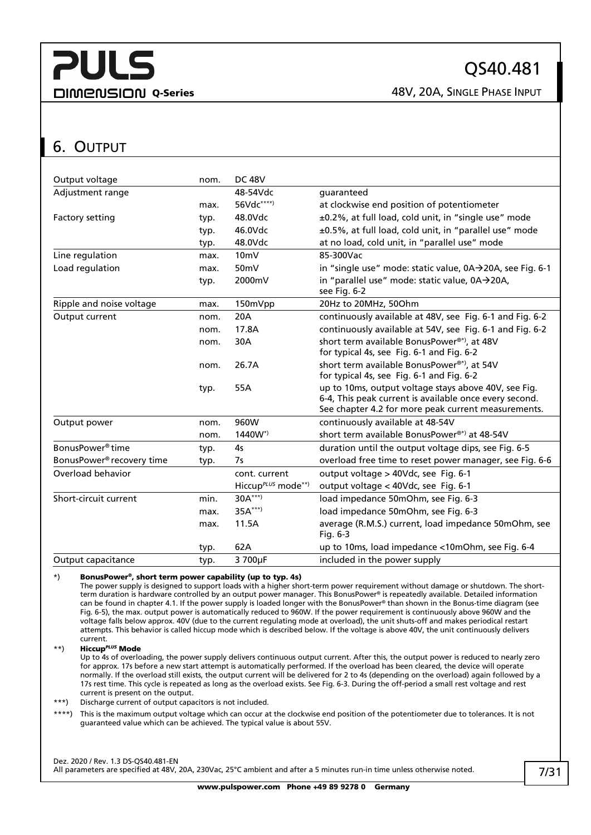**DIMENSION Q-Series CONSIGING A SINGLE PHASE INPUT** 

## <span id="page-6-0"></span>6. OUTPUT

| Output voltage                        | nom. | <b>DC 48V</b>                  |                                                                                                                                                                       |
|---------------------------------------|------|--------------------------------|-----------------------------------------------------------------------------------------------------------------------------------------------------------------------|
| Adjustment range                      |      | 48-54Vdc                       | quaranteed                                                                                                                                                            |
|                                       | max. | 56Vdc****)                     | at clockwise end position of potentiometer                                                                                                                            |
| Factory setting                       | typ. | 48.0Vdc                        | ±0.2%, at full load, cold unit, in "single use" mode                                                                                                                  |
|                                       | typ. | 46.0Vdc                        | ±0.5%, at full load, cold unit, in "parallel use" mode                                                                                                                |
|                                       | typ. | 48.0Vdc                        | at no load, cold unit, in "parallel use" mode                                                                                                                         |
| Line regulation                       | max. | 10 <sub>m</sub>                | 85-300Vac                                                                                                                                                             |
| Load regulation                       | max. | 50mV                           | in "single use" mode: static value, 0A→20A, see Fig. 6-1                                                                                                              |
|                                       | typ. | 2000mV                         | in "parallel use" mode: static value, 0A→20A,<br>see Fig. 6-2                                                                                                         |
| Ripple and noise voltage              | max. | 150mVpp                        | 20Hz to 20MHz, 50Ohm                                                                                                                                                  |
| Output current                        | nom. | 20A                            | continuously available at 48V, see Fig. 6-1 and Fig. 6-2                                                                                                              |
|                                       | nom. | 17.8A                          | continuously available at 54V, see Fig. 6-1 and Fig. 6-2                                                                                                              |
|                                       | nom. | 30A                            | short term available BonusPower®*), at 48V                                                                                                                            |
|                                       |      |                                | for typical 4s, see Fig. 6-1 and Fig. 6-2                                                                                                                             |
|                                       | nom. | 26.7A                          | short term available BonusPower®*), at 54V<br>for typical 4s, see Fig. 6-1 and Fig. 6-2                                                                               |
|                                       | typ. | 55A                            | up to 10ms, output voltage stays above 40V, see Fig.<br>6-4, This peak current is available once every second.<br>See chapter 4.2 for more peak current measurements. |
| Output power                          | nom. | 960W                           | continuously available at 48-54V                                                                                                                                      |
|                                       | nom. | 1440W*)                        | short term available BonusPower®*) at 48-54V                                                                                                                          |
| BonusPower <sup>®</sup> time          | typ. | 4 <sub>S</sub>                 | duration until the output voltage dips, see Fig. 6-5                                                                                                                  |
| BonusPower <sup>®</sup> recovery time | typ. | 7s                             | overload free time to reset power manager, see Fig. 6-6                                                                                                               |
| Overload behavior                     |      | cont. current                  | output voltage > 40Vdc, see Fig. 6-1                                                                                                                                  |
|                                       |      | Hiccup <sup>PLUS</sup> mode**) | output voltage < 40Vdc, see Fig. 6-1                                                                                                                                  |
| Short-circuit current                 | min. | $30A***$                       | load impedance 50mOhm, see Fig. 6-3                                                                                                                                   |
|                                       | max. | $35A***$                       | load impedance 50mOhm, see Fig. 6-3                                                                                                                                   |
|                                       | max. | 11.5A                          | average (R.M.S.) current, load impedance 50mOhm, see<br>Fig. $6-3$                                                                                                    |
|                                       | typ. | 62A                            | up to 10ms, load impedance <10mOhm, see Fig. 6-4                                                                                                                      |
| Output capacitance                    | typ. | 3 700µF                        | included in the power supply                                                                                                                                          |

#### \*) BonusPower®, short term power capability (up to typ. 4s)

The power supply is designed to support loads with a higher short-term power requirement without damage or shutdown. The shortterm duration is hardware controlled by an output power manager. This BonusPower® is repeatedly available. Detailed information can be found in chapte[r 4.1.](#page-24-1) If the power supply is loaded longer with the BonusPower® than shown in the Bonus-time diagram (see [Fig. 6-5\),](#page-7-3) the max. output power is automatically reduced to 960W. If the power requirement is continuously above 960W and the voltage falls below approx. 40V (due to the current regulating mode at overload), the unit shuts-off and makes periodical restart attempts. This behavior is called hiccup mode which is described below. If the voltage is above 40V, the unit continuously delivers current.

\*\*) Hiccup*PLUS* Mode

Up to 4s of overloading, the power supply delivers continuous output current. After this, the output power is reduced to nearly zero for approx. 17s before a new start attempt is automatically performed. If the overload has been cleared, the device will operate normally. If the overload still exists, the output current will be delivered for 2 to 4s (depending on the overload) again followed by a 17s rest time. This cycle is repeated as long as the overload exists. Se[e Fig.](#page-7-5) 6-3. During the off-period a small rest voltage and rest current is present on the output.

\*\*\*) Discharge current of output capacitors is not included.

\*\*\*\*) This is the maximum output voltage which can occur at the clockwise end position of the potentiometer due to tolerances. It is not guaranteed value which can be achieved. The typical value is about 55V.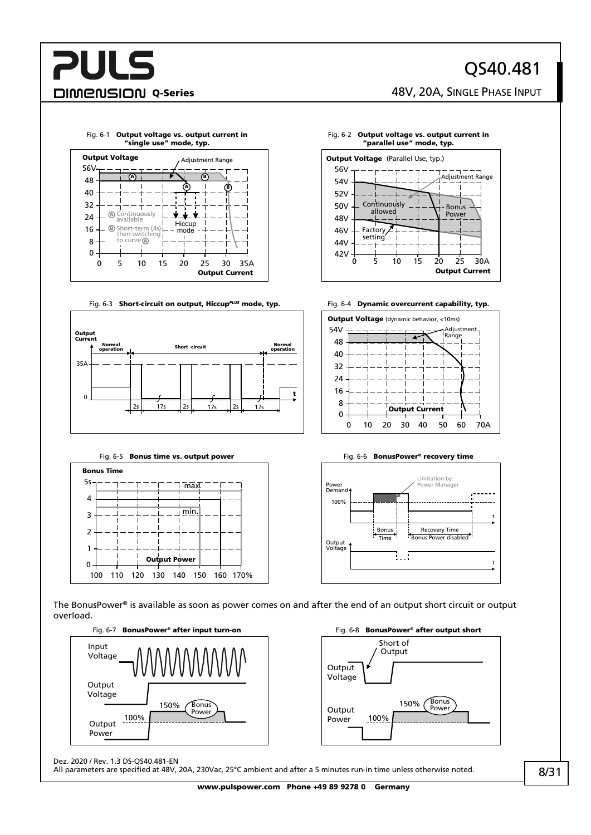## QS40.481

DIMENSION Q-Series 28V, 20A, SINGLE PHASE INPUT



#### <span id="page-7-0"></span>Fig. 6-1 Output voltage vs. output current in "single use" mode, typ.

<span id="page-7-5"></span>



#### <span id="page-7-1"></span>Fig. 6-2 Output voltage vs. output current in "parallel use" mode, typ. **Output Voltage** (Parallel Use, typ.)



<span id="page-7-2"></span>



#### Fig. 6-5 Bonus time vs. output power Fig. 6-6 BonusPower® recovery time

<span id="page-7-3"></span>

<span id="page-7-4"></span>

The BonusPower® is available as soon as power comes on and after the end of an output short circuit or output overload.





Dez. 2020 / Rev. 1.3 DS-QS40.481-EN

All parameters are specified at 48V, 20A, 230Vac, 25°C ambient and after a 5 minutes run-in time unless otherwise noted.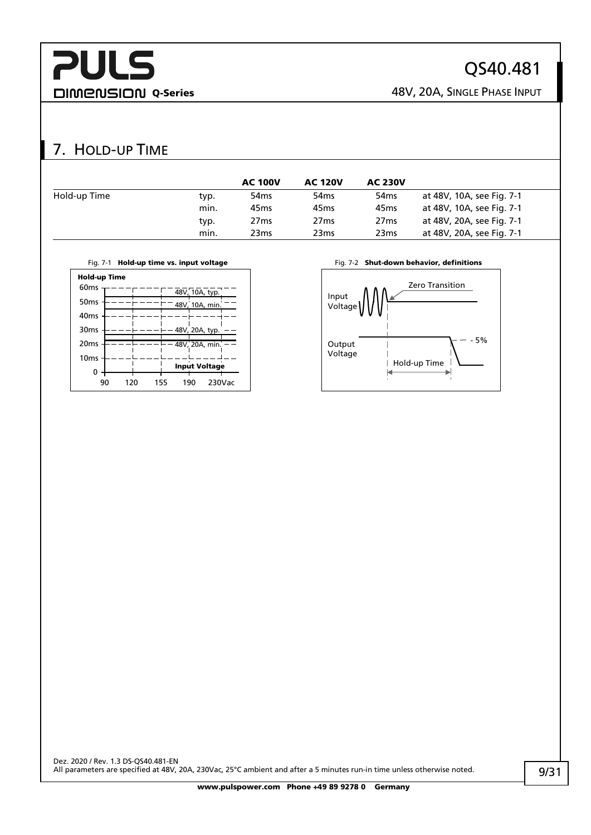## **PULS DIMENSION Q-Series CONSIGNAL SERIES 48V, 20A, SINGLE PHASE INPUT**

## QS40.481

## <span id="page-8-0"></span>7. HOLD-UP TIME

|              |      | <b>AC 100V</b>   | <b>AC 120V</b>   | <b>AC 230V</b>   |                           |
|--------------|------|------------------|------------------|------------------|---------------------------|
| Hold-up Time | typ. | 54 <sub>ms</sub> | 54 <sub>ms</sub> | 54 <sub>ms</sub> | at 48V, 10A, see Fig. 7-1 |
|              | min. | 45 <sub>ms</sub> | 45 <sub>ms</sub> | 45 <sub>ms</sub> | at 48V, 10A, see Fig. 7-1 |
|              | typ. | 27 <sub>ms</sub> | 27 <sub>ms</sub> | 27 <sub>ms</sub> | at 48V, 20A, see Fig. 7-1 |
|              | min. | 23 <sub>ms</sub> | 23 <sub>ms</sub> | 23 <sub>ms</sub> | at 48V, 20A, see Fig. 7-1 |

<span id="page-8-1"></span>



| 60 <sub>ms</sub> |     |     |     | 48V, 10A, typ.       |        |  |
|------------------|-----|-----|-----|----------------------|--------|--|
| 50 <sub>ms</sub> |     |     |     | 48V, 10A, min.       |        |  |
| 40 <sub>ms</sub> |     |     |     |                      |        |  |
| 30 <sub>ms</sub> |     |     |     | 48V, 20A, typ.       |        |  |
| 20 <sub>ms</sub> |     |     |     | 48V, 20A, min.       |        |  |
| 10 <sub>ms</sub> |     |     |     |                      |        |  |
| 0                |     |     |     | <b>Input Voltage</b> |        |  |
| 90               | 120 | 155 | 190 |                      | 230Vac |  |

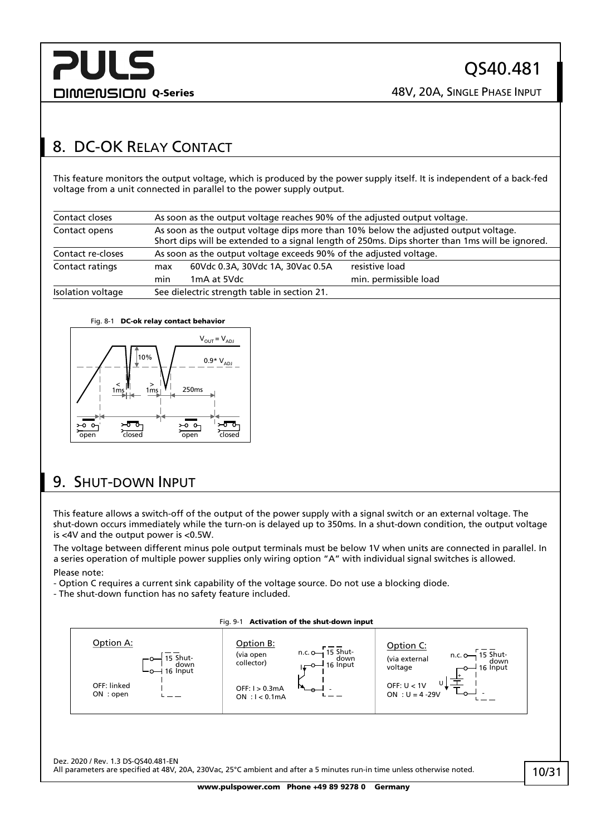## <span id="page-9-0"></span>8. DC-OK RELAY CONTACT

This feature monitors the output voltage, which is produced by the power supply itself. It is independent of a back-fed voltage from a unit connected in parallel to the power supply output.

| Contact closes    | As soon as the output voltage reaches 90% of the adjusted output voltage.                                                                                                              |                                                                    |                       |  |  |
|-------------------|----------------------------------------------------------------------------------------------------------------------------------------------------------------------------------------|--------------------------------------------------------------------|-----------------------|--|--|
| Contact opens     | As soon as the output voltage dips more than 10% below the adjusted output voltage.<br>Short dips will be extended to a signal length of 250ms. Dips shorter than 1ms will be ignored. |                                                                    |                       |  |  |
| Contact re-closes |                                                                                                                                                                                        | As soon as the output voltage exceeds 90% of the adjusted voltage. |                       |  |  |
| Contact ratings   | resistive load<br>60Vdc 0.3A, 30Vdc 1A, 30Vac 0.5A<br>max                                                                                                                              |                                                                    |                       |  |  |
|                   | min                                                                                                                                                                                    | 1 <sub>m</sub> A at 5Vdc                                           | min. permissible load |  |  |
| Isolation voltage |                                                                                                                                                                                        | See dielectric strength table in section 21.                       |                       |  |  |

#### Fig. 8-1 DC-ok relay contact behavior



## <span id="page-9-1"></span>9. SHUT-DOWN INPUT

This feature allows a switch-off of the output of the power supply with a signal switch or an external voltage. The shut-down occurs immediately while the turn-on is delayed up to 350ms. In a shut-down condition, the output voltage is <4V and the output power is <0.5W.

The voltage between different minus pole output terminals must be below 1V when units are connected in parallel. In a series operation of multiple power supplies only wiring option "A" with individual signal switches is allowed. Please note:

- Option C requires a current sink capability of the voltage source. Do not use a blocking diode.

- The shut-down function has no safety feature included.

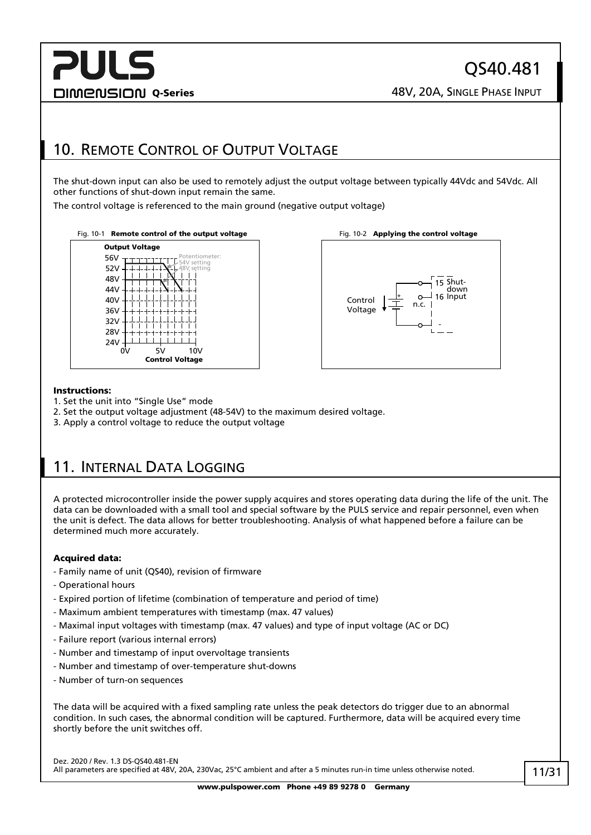## **PULS DIMENSION Q-Series CONSIGING A SINGLE PHASE INPUT**

## <span id="page-10-0"></span>10. REMOTE CONTROL OF OUTPUT VOLTAGE

The shut-down input can also be used to remotely adjust the output voltage between typically 44Vdc and 54Vdc. All other functions of shut-down input remain the same.

The control voltage is referenced to the main ground (negative output voltage)







#### Instructions:

- 1. Set the unit into "Single Use" mode
- 2. Set the output voltage adjustment (48-54V) to the maximum desired voltage.
- 3. Apply a control voltage to reduce the output voltage

## <span id="page-10-1"></span>11. INTERNAL DATA LOGGING

A protected microcontroller inside the power supply acquires and stores operating data during the life of the unit. The data can be downloaded with a small tool and special software by the PULS service and repair personnel, even when the unit is defect. The data allows for better troubleshooting. Analysis of what happened before a failure can be determined much more accurately.

#### Acquired data:

- Family name of unit (QS40), revision of firmware
- Operational hours
- Expired portion of lifetime (combination of temperature and period of time)
- Maximum ambient temperatures with timestamp (max. 47 values)
- Maximal input voltages with timestamp (max. 47 values) and type of input voltage (AC or DC)
- Failure report (various internal errors)
- Number and timestamp of input overvoltage transients
- Number and timestamp of over-temperature shut-downs
- Number of turn-on sequences

The data will be acquired with a fixed sampling rate unless the peak detectors do trigger due to an abnormal condition. In such cases, the abnormal condition will be captured. Furthermore, data will be acquired every time shortly before the unit switches off.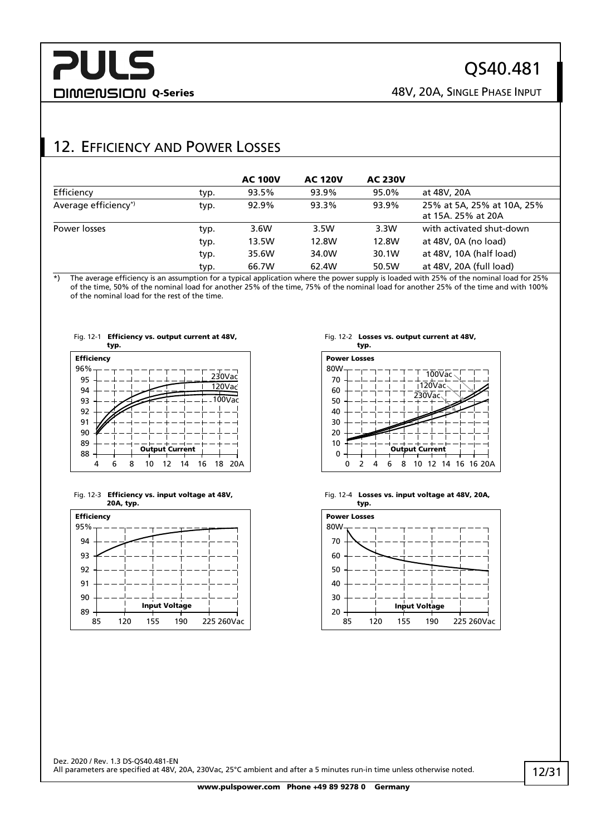## QS40.481

DIMENSION Q-Series 28V, 20A, SINGLE PHASE INPUT

## <span id="page-11-0"></span>12. EFFICIENCY AND POWER LOSSES

|                      |      | <b>AC 100V</b> | <b>AC 120V</b> | <b>AC 230V</b> |                                                  |
|----------------------|------|----------------|----------------|----------------|--------------------------------------------------|
| Efficiency           | typ. | 93.5%          | 93.9%          | 95.0%          | at 48V, 20A                                      |
| Average efficiency*) | typ. | 92.9%          | 93.3%          | 93.9%          | 25% at 5A, 25% at 10A, 25%<br>at 15A, 25% at 20A |
| Power losses         | typ. | 3.6W           | 3.5W           | 3.3W           | with activated shut-down                         |
|                      | typ. | 13.5W          | 12.8W          | 12.8W          | at 48V, 0A (no load)                             |
|                      | typ. | 35.6W          | 34.0W          | 30.1W          | at 48V, 10A (half load)                          |
|                      | typ. | 66.7W          | 62.4W          | 50.5W          | at 48V, 20A (full load)                          |

\*) The average efficiency is an assumption for a typical application where the power supply is loaded with 25% of the nominal load for 25% of the time, 50% of the nominal load for another 25% of the time, 75% of the nominal load for another 25% of the time and with 100% of the nominal load for the rest of the time.







#### Fig. 12-2 Losses vs. output current at 48V,



Fig. 12-4 Losses vs. input voltage at 48V, 20A,

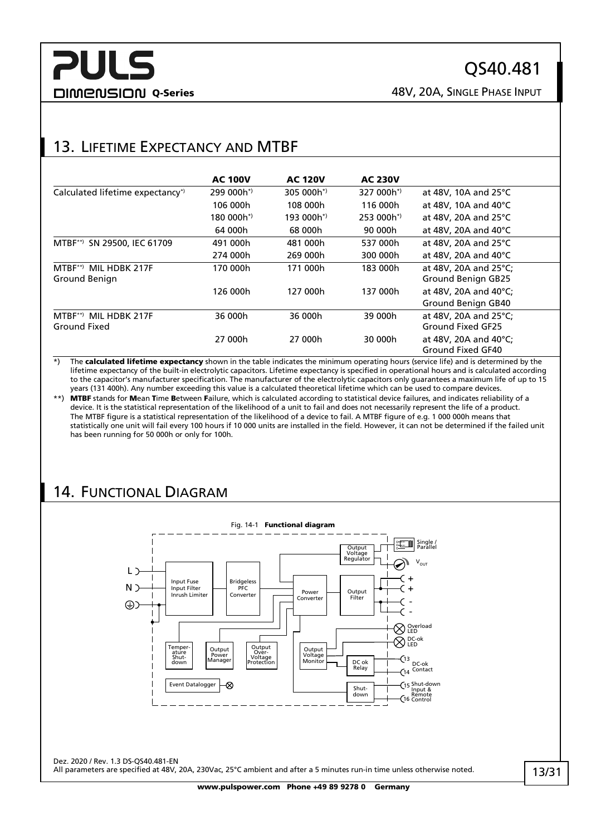DIMENSION Q-Series 28V, 20A, SINGLE PHASE INPUT

## <span id="page-12-0"></span>13. LIFETIME EXPECTANCY AND MTBF

|                                                  | <b>AC 100V</b>        | <b>AC 120V</b>        | <b>AC 230V</b>         |                                                    |
|--------------------------------------------------|-----------------------|-----------------------|------------------------|----------------------------------------------------|
| Calculated lifetime expectancy <sup>*</sup>      | 299 000h <sup>*</sup> | 305 000h <sup>*</sup> | 327 000h <sup>*</sup>  | at 48V, 10A and 25°C                               |
|                                                  | 106 000h              | 108 000h              | 116 000h               | at 48V, 10A and 40 $^{\circ}$ C                    |
|                                                  | 180 000 $h^{*}$       | $193,000h^*$          | 253 000h <sup>*)</sup> | at 48V, 20A and 25°C                               |
|                                                  | 64 000h               | 68 000h               | 90 000h                | at 48V, 20A and 40°C                               |
| $MTBF^{**}$<br>SN 29500, IEC 61709               | 491 000h              | 481 000h              | 537 000h               | at 48V, 20A and 25°C                               |
|                                                  | 274 000h              | 269 000h              | 300 000h               | at 48V, 20A and 40°C                               |
| $MTBF^{**}$<br>MIL HDBK 217F<br>Ground Benign    | 170 000h              | 171 000h              | 183 000h               | at 48V, 20A and 25°C;<br><b>Ground Benign GB25</b> |
|                                                  | 126 000h              | 127 000h              | 137 000h               | at 48V, 20A and 40°C;<br>Ground Benign GB40        |
| MTBF <sup>**</sup> MIL HDBK 217F<br>Ground Fixed | 36 000h               | 36 000h               | 39 000h                | at 48V, 20A and 25°C;<br>Ground Fixed GF25         |
|                                                  | 27 000h               | 27 000h               | 30 000h                | at 48V, 20A and 40°C;<br>Ground Fixed GF40         |

\*) The calculated lifetime expectancy shown in the table indicates the minimum operating hours (service life) and is determined by the lifetime expectancy of the built-in electrolytic capacitors. Lifetime expectancy is specified in operational hours and is calculated according to the capacitor's manufacturer specification. The manufacturer of the electrolytic capacitors only guarantees a maximum life of up to 15 years (131 400h). Any number exceeding this value is a calculated theoretical lifetime which can be used to compare devices.

\*\*) MTBF stands for Mean Time Between Failure, which is calculated according to statistical device failures, and indicates reliability of a device. It is the statistical representation of the likelihood of a unit to fail and does not necessarily represent the life of a product. The MTBF figure is a statistical representation of the likelihood of a device to fail. A MTBF figure of e.g. 1 000 000h means that statistically one unit will fail every 100 hours if 10 000 units are installed in the field. However, it can not be determined if the failed unit has been running for 50 000h or only for 100h.

## <span id="page-12-1"></span>14. FUNCTIONAL DIAGRAM

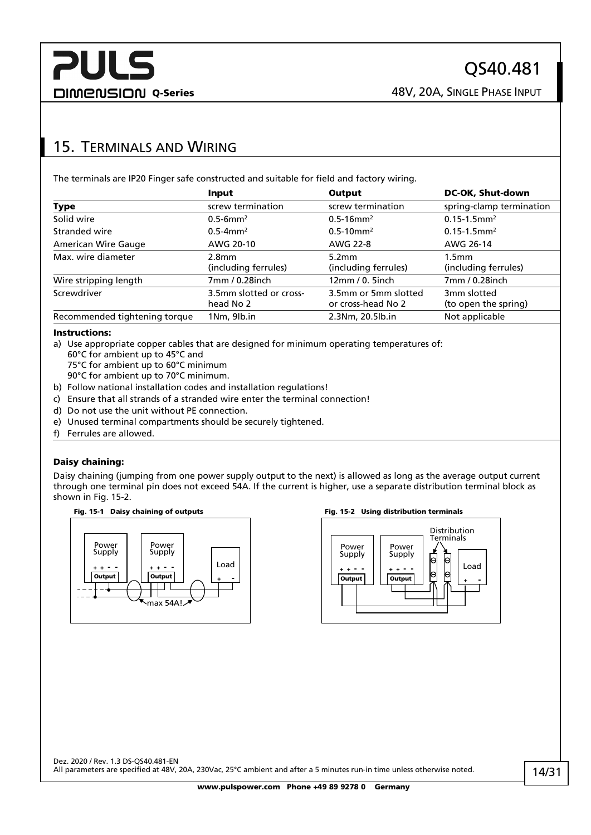## <span id="page-13-0"></span>15. TERMINALS AND WIRING

The terminals are IP20 Finger safe constructed and suitable for field and factory wiring.

|                               | Input                     | Output                     | DC-OK, Shut-down             |
|-------------------------------|---------------------------|----------------------------|------------------------------|
| Type                          | screw termination         | screw termination          | spring-clamp termination     |
| Solid wire                    | $0.5 - 6$ mm <sup>2</sup> | $0.5 - 16$ mm <sup>2</sup> | $0.15 - 1.5$ mm <sup>2</sup> |
| Stranded wire                 | $0.5 - 4$ mm <sup>2</sup> | $0.5 - 10$ mm <sup>2</sup> | $0.15 - 1.5$ mm <sup>2</sup> |
| American Wire Gauge           | AWG 20-10                 | AWG 22-8                   | AWG 26-14                    |
| Max. wire diameter            | 2.8 <sub>mm</sub>         | 5.2 <sub>mm</sub>          | 1.5 <sub>mm</sub>            |
|                               | (including ferrules)      | (including ferrules)       | (including ferrules)         |
| Wire stripping length         | 7mm / 0.28inch            | 12mm/0.5inch               | 7mm / 0.28inch               |
| Screwdriver                   | 3.5mm slotted or cross-   | 3.5mm or 5mm slotted       | 3mm slotted                  |
|                               | head No 2                 | or cross-head No 2         | (to open the spring)         |
| Recommended tightening torque | 1Nm, 9lb.in               | 2.3Nm, 20.5lb.in           | Not applicable               |

#### Instructions:

a) Use appropriate copper cables that are designed for minimum operating temperatures of:

- 60°C for ambient up to 45°C and
- 75°C for ambient up to 60°C minimum
- 90°C for ambient up to 70°C minimum.
- b) Follow national installation codes and installation regulations!
- c) Ensure that all strands of a stranded wire enter the terminal connection!
- d) Do not use the unit without PE connection.
- e) Unused terminal compartments should be securely tightened.
- f) Ferrules are allowed.

#### Daisy chaining:

Daisy chaining (jumping from one power supply output to the next) is allowed as long as the average output current through one terminal pin does not exceed 54A. If the current is higher, use a separate distribution terminal block as shown in [Fig. 15-2.](#page-13-1)







<span id="page-13-1"></span>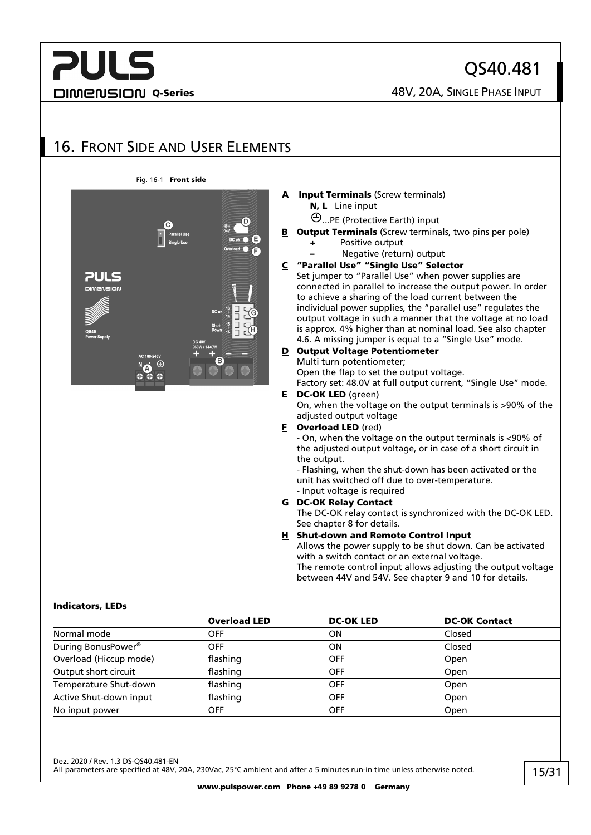## **PULS DIMENSION Q-Series ABOUT ABOUT A SINGLE PHASE INPUT**

QS40.481

## <span id="page-14-0"></span>16. FRONT SIDE AND USER ELEMENTS

#### Fig. 16-1 Front side



#### **Input Terminals (Screw terminals)** N, L Line input

- ...PE (Protective Earth) input
- **B** Output Terminals (Screw terminals, two pins per pole)
	- + Positive output
		- Negative (return) output

#### C "Parallel Use" "Single Use" Selector

Set jumper to "Parallel Use" when power supplies are connected in parallel to increase the output power. In order to achieve a sharing of the load current between the individual power supplies, the "parallel use" regulates the output voltage in such a manner that the voltage at no load is approx. 4% higher than at nominal load. See also chapter [4.6.](#page-27-0) A missing jumper is equal to a "Single Use" mode.

#### D Output Voltage Potentiometer Multi turn potentiometer;

Open the flap to set the output voltage.

Factory set: 48.0V at full output current, "Single Use" mode. E DC-OK LED (green)

On, when the voltage on the output terminals is >90% of the adjusted output voltage

#### **F** Overload LED (red)

- On, when the voltage on the output terminals is <90% of the adjusted output voltage, or in case of a short circuit in the output.

- Flashing, when the shut-down has been activated or the unit has switched off due to over-temperature.

#### - Input voltage is required G DC-OK Relay Contact

The DC-OK relay contact is synchronized with the DC-OK LED. See chapte[r 8](#page-9-0) for details.

#### H Shut-down and Remote Control Input

Allows the power supply to be shut down. Can be activated with a switch contact or an external voltage. The remote control input allows adjusting the output voltage

between 44V and 54V. See chapter [9](#page-9-1) and [10](#page-10-0) for details.

#### Indicators, LEDs

|                                | <b>Overload LED</b> | <b>DC-OK LED</b> | <b>DC-OK Contact</b> |
|--------------------------------|---------------------|------------------|----------------------|
| Normal mode                    | OFF                 | ΟN               | Closed               |
| During BonusPower <sup>®</sup> | <b>OFF</b>          | ΟN               | Closed               |
| Overload (Hiccup mode)         | flashing            | <b>OFF</b>       | Open                 |
| Output short circuit           | flashing            | <b>OFF</b>       | Open                 |
| Temperature Shut-down          | flashing            | <b>OFF</b>       | Open                 |
| Active Shut-down input         | flashing            | <b>OFF</b>       | Open                 |
| No input power                 | OFF                 | <b>OFF</b>       | Open                 |

Dez. 2020 / Rev. 1.3 DS-QS40.481-EN

All parameters are specified at 48V, 20A, 230Vac, 25°C ambient and after a 5 minutes run-in time unless otherwise noted.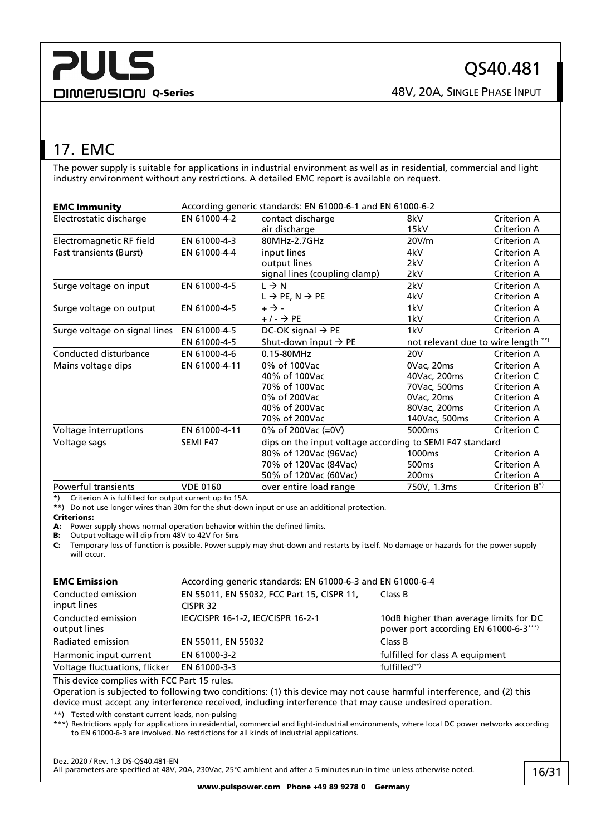## <span id="page-15-0"></span>17. EMC

The power supply is suitable for applications in industrial environment as well as in residential, commercial and light industry environment without any restrictions. A detailed EMC report is available on request.

| <b>EMC Immunity</b>            | According generic standards: EN 61000-6-1 and EN 61000-6-2 |                                         |                                                          |                                     |  |
|--------------------------------|------------------------------------------------------------|-----------------------------------------|----------------------------------------------------------|-------------------------------------|--|
| Electrostatic discharge        | EN 61000-4-2                                               | contact discharge                       | 8kV                                                      | Criterion A                         |  |
|                                |                                                            | air discharge                           | 15kV                                                     | Criterion A                         |  |
| Electromagnetic RF field       | EN 61000-4-3                                               | 80MHz-2.7GHz                            | 20V/m                                                    | Criterion A                         |  |
| <b>Fast transients (Burst)</b> | EN 61000-4-4                                               | input lines                             | 4kV                                                      | Criterion A                         |  |
|                                |                                                            | output lines                            | 2kV                                                      | Criterion A                         |  |
|                                |                                                            | signal lines (coupling clamp)           | 2kV                                                      | Criterion A                         |  |
| Surge voltage on input         | EN 61000-4-5                                               | $L \rightarrow N$                       | 2kV                                                      | Criterion A                         |  |
|                                |                                                            | $L \rightarrow PE$ , N $\rightarrow PE$ | 4kV                                                      | Criterion A                         |  |
| Surge voltage on output        | EN 61000-4-5                                               | $+ \rightarrow -$                       | 1kV                                                      | Criterion A                         |  |
|                                |                                                            | $+/ \rightarrow$ PE                     | 1kV                                                      | Criterion A                         |  |
| Surge voltage on signal lines  | EN 61000-4-5                                               | DC-OK signal $\rightarrow$ PE           | 1kV                                                      | Criterion A                         |  |
|                                | EN 61000-4-5                                               | Shut-down input $\rightarrow$ PE        |                                                          | not relevant due to wire length **) |  |
| Conducted disturbance          | EN 61000-4-6                                               | 0.15-80MHz                              | 20V                                                      | Criterion A                         |  |
| Mains voltage dips             | EN 61000-4-11                                              | 0% of 100Vac                            | 0Vac, 20ms                                               | Criterion A                         |  |
|                                |                                                            | 40% of 100Vac                           | 40Vac, 200ms                                             | Criterion C                         |  |
|                                |                                                            | 70% of 100Vac                           | 70Vac, 500ms                                             | Criterion A                         |  |
|                                |                                                            | 0% of 200Vac                            | 0Vac, 20ms                                               | Criterion A                         |  |
|                                |                                                            | 40% of 200Vac                           | 80Vac, 200ms                                             | Criterion A                         |  |
|                                |                                                            | 70% of 200Vac                           | 140Vac, 500ms                                            | Criterion A                         |  |
| Voltage interruptions          | EN 61000-4-11                                              | 0% of 200Vac (=0V)                      | 5000ms                                                   | Criterion C                         |  |
| Voltage sags                   | SEMI F47                                                   |                                         | dips on the input voltage according to SEMI F47 standard |                                     |  |
|                                |                                                            | 80% of 120Vac (96Vac)                   | 1000 <sub>ms</sub>                                       | Criterion A                         |  |
|                                |                                                            | 70% of 120Vac (84Vac)                   | 500 <sub>ms</sub>                                        | Criterion A                         |  |
|                                |                                                            | 50% of 120Vac (60Vac)                   | 200 <sub>ms</sub>                                        | Criterion A                         |  |
| <b>Powerful transients</b>     | <b>VDE 0160</b>                                            | over entire load range                  | 750V, 1.3ms                                              | Criterion B*)                       |  |

\*) Criterion A is fulfilled for output current up to 15A.

\*\*) Do not use longer wires than 30m for the shut-down input or use an additional protection.

#### Criterions:

A: Power supply shows normal operation behavior within the defined limits.

B: Output voltage will dip from 48V to 42V for 5ms

C: Temporary loss of function is possible. Power supply may shut-down and restarts by itself. No damage or hazards for the power supply will occur.

| <b>EMC Emission</b>                | According generic standards: EN 61000-6-3 and EN 61000-6-4 |                                                                                 |  |  |  |
|------------------------------------|------------------------------------------------------------|---------------------------------------------------------------------------------|--|--|--|
| Conducted emission<br>input lines  | EN 55011, EN 55032, FCC Part 15, CISPR 11,<br>CISPR 32     | Class B                                                                         |  |  |  |
| Conducted emission<br>output lines | IEC/CISPR 16-1-2, IEC/CISPR 16-2-1                         | 10dB higher than average limits for DC<br>power port according EN 61000-6-3***) |  |  |  |
| Radiated emission                  | EN 55011, EN 55032                                         | Class B                                                                         |  |  |  |
| Harmonic input current             | EN 61000-3-2                                               | fulfilled for class A equipment                                                 |  |  |  |
| Voltage fluctuations, flicker      | EN 61000-3-3                                               | fulfilled**)                                                                    |  |  |  |
|                                    |                                                            |                                                                                 |  |  |  |

This device complies with FCC Part 15 rules.

Operation is subjected to following two conditions: (1) this device may not cause harmful interference, and (2) this device must accept any interference received, including interference that may cause undesired operation.

\*\*) Tested with constant current loads, non-pulsing

\*\*\*) Restrictions apply for applications in residential, commercial and light-industrial environments, where local DC power networks according to EN 61000-6-3 are involved. No restrictions for all kinds of industrial applications.

Dez. 2020 / Rev. 1.3 DS-QS40.481-EN

All parameters are specified at 48V, 20A, 230Vac, 25°C ambient and after a 5 minutes run-in time unless otherwise noted.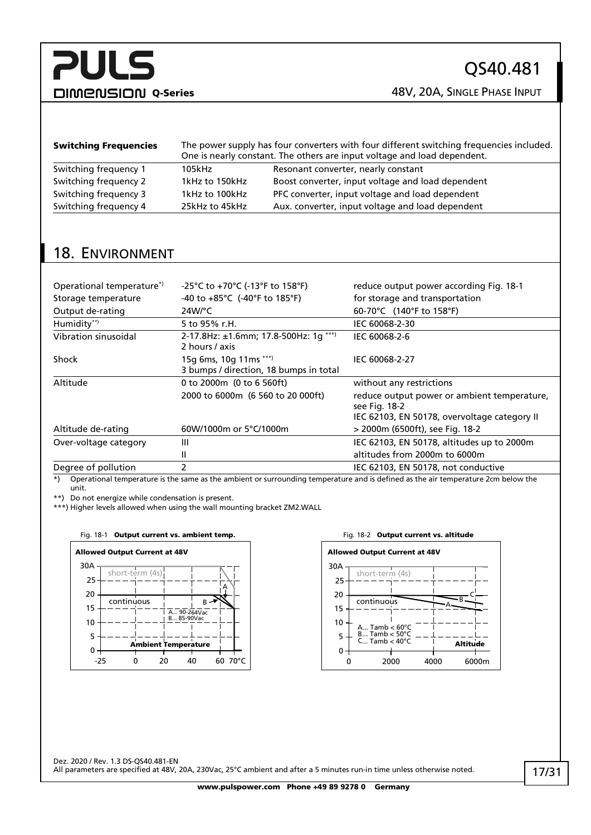DIMENSION Q-Series 48V, 20A, SINGLE PHASE INPUT

| <b>Switching Frequencies</b> | The power supply has four converters with four different switching frequencies included.<br>One is nearly constant. The others are input voltage and load dependent. |                                                   |  |  |
|------------------------------|----------------------------------------------------------------------------------------------------------------------------------------------------------------------|---------------------------------------------------|--|--|
| Switching frequency 1        | 105kHz                                                                                                                                                               | Resonant converter, nearly constant               |  |  |
| Switching frequency 2        | 1kHz to 150kHz                                                                                                                                                       | Boost converter, input voltage and load dependent |  |  |
| Switching frequency 3        | 1kHz to 100kHz                                                                                                                                                       | PFC converter, input voltage and load dependent   |  |  |
| Switching frequency 4        | 25kHz to 45kHz                                                                                                                                                       | Aux. converter, input voltage and load dependent  |  |  |

## <span id="page-16-0"></span>18. ENVIRONMENT

| Operational temperature <sup>*</sup> | -25°C to +70°C (-13°F to 158°F)                                  | reduce output power according Fig. 18-1                                                                      |
|--------------------------------------|------------------------------------------------------------------|--------------------------------------------------------------------------------------------------------------|
| Storage temperature                  | -40 to $+85^{\circ}$ C (-40°F to 185°F)                          | for storage and transportation                                                                               |
| Output de-rating                     | $24W$ °C                                                         | 60-70°C (140°F to 158°F)                                                                                     |
| Humidity**)                          | 5 to 95% r.H.                                                    | IEC 60068-2-30                                                                                               |
| Vibration sinusoidal                 | 2-17.8Hz: ±1.6mm; 17.8-500Hz: 1g ***)<br>2 hours / axis          | IEC 60068-2-6                                                                                                |
| Shock                                | 15g 6ms, 10g 11ms ***)<br>3 bumps / direction, 18 bumps in total | IEC 60068-2-27                                                                                               |
| Altitude                             | 0 to 2000m (0 to 6 560ft)                                        | without any restrictions                                                                                     |
|                                      | 2000 to 6000m (6 560 to 20 000ft)                                | reduce output power or ambient temperature,<br>see Fig. 18-2<br>IEC 62103, EN 50178, overvoltage category II |
| Altitude de-rating                   | 60W/1000m or 5°C/1000m                                           | > 2000m (6500ft), see Fig. 18-2                                                                              |
| Over-voltage category                | Ш                                                                | IEC 62103, EN 50178, altitudes up to 2000m                                                                   |
|                                      | Ш                                                                | altitudes from 2000m to 6000m                                                                                |
| Degree of pollution                  | 2                                                                | IEC 62103, EN 50178, not conductive                                                                          |

\*) Operational temperature is the same as the ambient or surrounding temperature and is defined as the air temperature 2cm below the unit.

\*\*) Do not energize while condensation is present.

\*\*\*) Higher levels allowed when using the wall mounting bracket ZM2.WALL

#### <span id="page-16-1"></span>Fig. 18-1 Output current vs. ambient temp. Fig. 18-2 Output current vs. altitude



<span id="page-16-2"></span>

Dez. 2020 / Rev. 1.3 DS-QS40.481-EN All parameters are specified at 48V, 20A, 230Vac, 25°C ambient and after a 5 minutes run-in time unless otherwise noted.

www.pulspower.com Phone +49 89 9278 0 Germany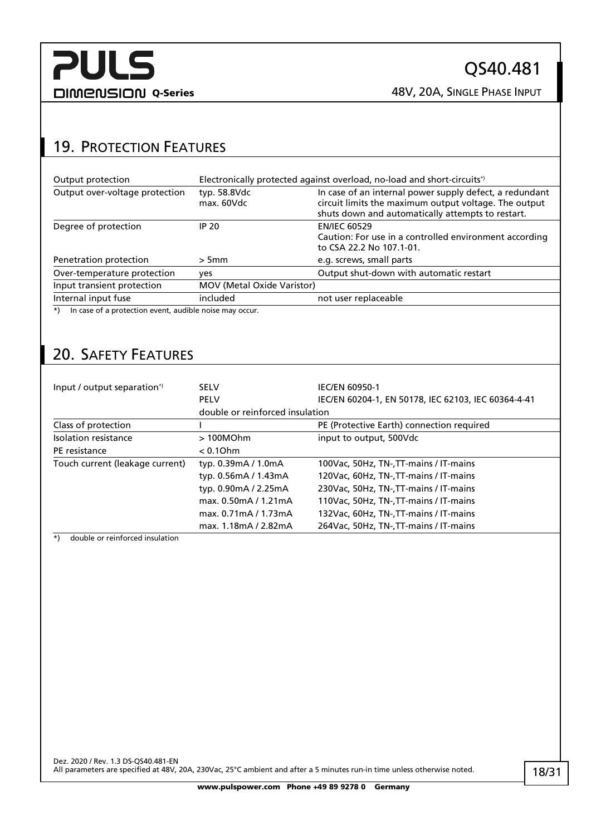## <span id="page-17-0"></span>19. PROTECTION FEATURES

| Output protection                                                 |                                   | Electronically protected against overload, no-load and short-circuits*)                                                                                               |  |  |  |
|-------------------------------------------------------------------|-----------------------------------|-----------------------------------------------------------------------------------------------------------------------------------------------------------------------|--|--|--|
| Output over-voltage protection                                    | typ. 58.8Vdc<br>max. 60Vdc        | In case of an internal power supply defect, a redundant<br>circuit limits the maximum output voltage. The output<br>shuts down and automatically attempts to restart. |  |  |  |
| Degree of protection                                              | IP 20                             | <b>EN/IEC 60529</b><br>Caution: For use in a controlled environment according<br>to CSA 22.2 No 107.1-01.                                                             |  |  |  |
| Penetration protection                                            | > 5mm                             | e.g. screws, small parts                                                                                                                                              |  |  |  |
| Over-temperature protection                                       | ves                               | Output shut-down with automatic restart                                                                                                                               |  |  |  |
| Input transient protection                                        | <b>MOV (Metal Oxide Varistor)</b> |                                                                                                                                                                       |  |  |  |
| Internal input fuse                                               | included                          | not user replaceable                                                                                                                                                  |  |  |  |
| In case of a protection event, audible noise may occur.<br>$^{*}$ |                                   |                                                                                                                                                                       |  |  |  |

## <span id="page-17-1"></span>20. SAFETY FEATURES

| Input / output separation*)     | <b>SELV</b>                     | <b>IEC/EN 60950-1</b>                               |  |  |
|---------------------------------|---------------------------------|-----------------------------------------------------|--|--|
|                                 | <b>PELV</b>                     | IEC/EN 60204-1, EN 50178, IEC 62103, IEC 60364-4-41 |  |  |
|                                 | double or reinforced insulation |                                                     |  |  |
| Class of protection             |                                 | PE (Protective Earth) connection required           |  |  |
| Isolation resistance            | >100MOhm                        | input to output, 500Vdc                             |  |  |
| PE resistance                   | $< 0.1$ Ohm                     |                                                     |  |  |
| Touch current (leakage current) | typ. 0.39mA / 1.0mA             | 100Vac, 50Hz, TN-, TT-mains / IT-mains              |  |  |
|                                 | typ. 0.56mA / 1.43mA            | 120Vac, 60Hz, TN-, TT-mains / IT-mains              |  |  |
|                                 | typ. 0.90mA / 2.25mA            | 230 Vac, 50 Hz, TN-, TT-mains / IT-mains            |  |  |
|                                 | max. 0.50mA / 1.21mA            | 110Vac, 50Hz, TN-, TT-mains / IT-mains              |  |  |
|                                 | max. 0.71mA / 1.73mA            | 132Vac, 60Hz, TN-, TT-mains / IT-mains              |  |  |
|                                 | max. 1.18mA / 2.82mA            | 264Vac, 50Hz, TN-, TT-mains / IT-mains              |  |  |

\*) double or reinforced insulation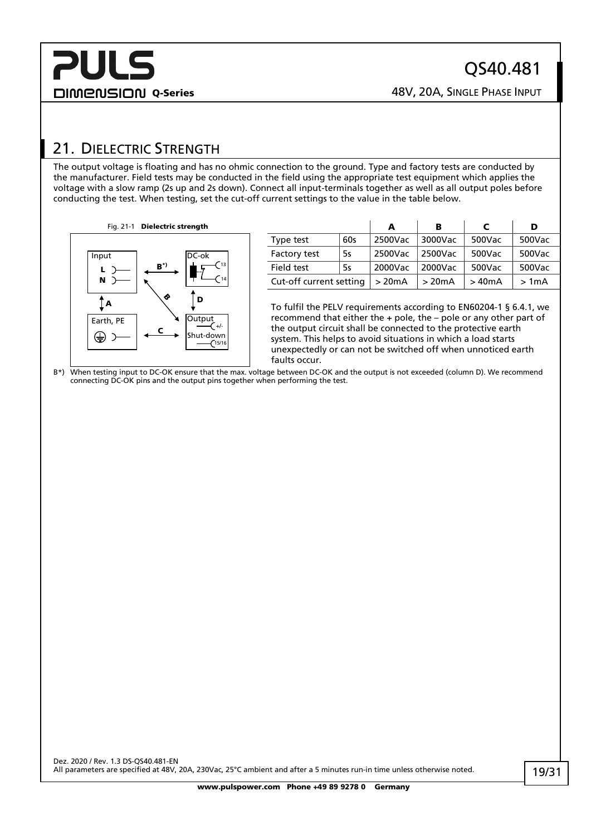## <span id="page-18-0"></span>21. DIELECTRIC STRENGTH

The output voltage is floating and has no ohmic connection to the ground. Type and factory tests are conducted by the manufacturer. Field tests may be conducted in the field using the appropriate test equipment which applies the voltage with a slow ramp (2s up and 2s down). Connect all input-terminals together as well as all output poles before conducting the test. When testing, set the cut-off current settings to the value in the table below.

Fig. 21-1 Dielectric strength



|                         |     | А       | в       | C      | D      |
|-------------------------|-----|---------|---------|--------|--------|
| Type test               | 60s | 2500Vac | 3000Vac | 500Vac | 500Vac |
| Factory test            | 5s  | 2500Vac | 2500Vac | 500Vac | 500Vac |
| Field test              | 5s  | 2000Vac | 2000Vac | 500Vac | 500Vac |
| Cut-off current setting |     | >20mA   | >20mA   | >40mA  | >1mA   |

To fulfil the PELV requirements according to EN60204-1 § 6.4.1, we recommend that either the + pole, the – pole or any other part of the output circuit shall be connected to the protective earth system. This helps to avoid situations in which a load starts unexpectedly or can not be switched off when unnoticed earth faults occur.

B\*) When testing input to DC-OK ensure that the max. voltage between DC-OK and the output is not exceeded (column D). We recommend connecting DC-OK pins and the output pins together when performing the test.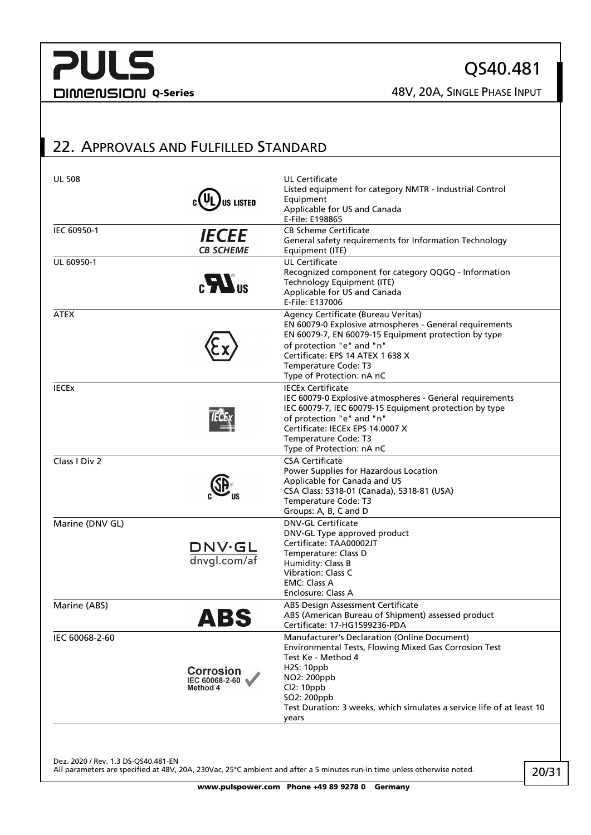QS40.481

## <span id="page-19-0"></span>22. APPROVALS AND FULFILLED STANDARD

| <b>UL 508</b>   | <b>US LISTED</b>                               | UL Certificate<br>Listed equipment for category NMTR - Industrial Control<br>Equipment<br>Applicable for US and Canada<br>E-File: E198865                                                                                                                                      |
|-----------------|------------------------------------------------|--------------------------------------------------------------------------------------------------------------------------------------------------------------------------------------------------------------------------------------------------------------------------------|
| IEC 60950-1     | <b>IECEE</b><br><b>CB SCHEME</b>               | <b>CB Scheme Certificate</b><br>General safety requirements for Information Technology<br>Equipment (ITE)                                                                                                                                                                      |
| UL 60950-1      | $_{c}H$ <sub>us</sub>                          | <b>UL Certificate</b><br>Recognized component for category QQGQ - Information<br>Technology Equipment (ITE)<br>Applicable for US and Canada<br>E-File: E137006                                                                                                                 |
| <b>ATEX</b>     |                                                | Agency Certificate (Bureau Veritas)<br>EN 60079-0 Explosive atmospheres - General requirements<br>EN 60079-7, EN 60079-15 Equipment protection by type<br>of protection "e" and "n"<br>Certificate: EPS 14 ATEX 1 638 X<br>Temperature Code: T3<br>Type of Protection: nA nC   |
| <b>IECEX</b>    |                                                | <b>IECEx Certificate</b><br>IEC 60079-0 Explosive atmospheres - General requirements<br>IEC 60079-7, IEC 60079-15 Equipment protection by type<br>of protection "e" and "n"<br>Certificate: IECEx EPS 14,0007 X<br>Temperature Code: T3<br>Type of Protection: nA nC           |
| Class I Div 2   |                                                | <b>CSA Certificate</b><br>Power Supplies for Hazardous Location<br>Applicable for Canada and US<br>CSA Class: 5318-01 (Canada), 5318-81 (USA)<br>Temperature Code: T3<br>Groups: A, B, C and D                                                                                 |
| Marine (DNV GL) | $\frac{\text{DNV·GL}}{\text{dnygl.com/af}}$    | <b>DNV-GL Certificate</b><br>DNV-GL Type approved product<br>Certificate: TAA00002JT<br>Temperature: Class D<br>Humidity: Class B<br>Vibration: Class C<br><b>EMC: Class A</b><br>Enclosure: Class A                                                                           |
| Marine (ABS)    | ABS                                            | ABS Design Assessment Certificate<br>ABS (American Bureau of Shipment) assessed product<br>Certificate: 17-HG1599236-PDA                                                                                                                                                       |
| IEC 60068-2-60  | <b>Corrosion</b><br>IEC 60068-2-60<br>Method 4 | Manufacturer's Declaration (Online Document)<br>Environmental Tests, Flowing Mixed Gas Corrosion Test<br>Test Ke - Method 4<br><b>H2S: 10ppb</b><br>NO2: 200ppb<br>Cl2: 10ppb<br>SO2: 200ppb<br>Test Duration: 3 weeks, which simulates a service life of at least 10<br>years |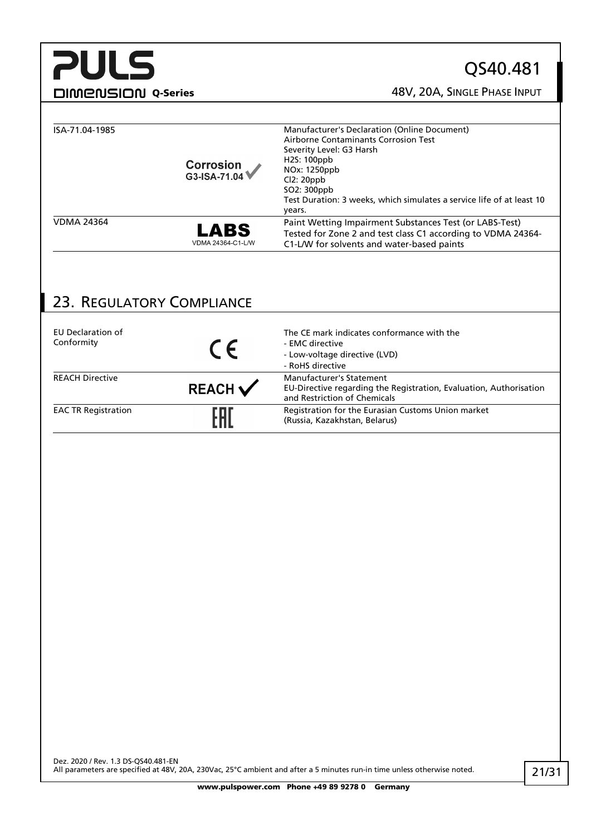## QS40.481

**DIMENSION Q-Series CONSIGING A SINGLE PHASE INPUT** 

| ISA-71.04-1985    | Corrosion<br>G3-ISA-71.04 | Manufacturer's Declaration (Online Document)<br>Airborne Contaminants Corrosion Test<br>Severity Level: G3 Harsh<br>H <sub>25</sub> : 100ppb<br>NOx: 1250ppb<br>Cl2:20ppb<br>SO2: 300ppb<br>Test Duration: 3 weeks, which simulates a service life of at least 10<br>years. |
|-------------------|---------------------------|-----------------------------------------------------------------------------------------------------------------------------------------------------------------------------------------------------------------------------------------------------------------------------|
| <b>VDMA 24364</b> | LABS<br>VDMA 24364-C1-L/W | Paint Wetting Impairment Substances Test (or LABS-Test)<br>Tested for Zone 2 and test class C1 according to VDMA 24364-<br>C1-L/W for solvents and water-based paints                                                                                                       |

## <span id="page-20-0"></span>23. REGULATORY COMPLIANCE

| EU Declaration of<br>Conformity | CE                 | The CE mark indicates conformance with the<br>- EMC directive<br>- Low-voltage directive (LVD)<br>- RoHS directive                    |
|---------------------------------|--------------------|---------------------------------------------------------------------------------------------------------------------------------------|
| <b>REACH Directive</b>          | REACH $\checkmark$ | <b>Manufacturer's Statement</b><br>EU-Directive regarding the Registration, Evaluation, Authorisation<br>and Restriction of Chemicals |
| <b>EAC TR Registration</b>      | FAI                | Registration for the Eurasian Customs Union market<br>(Russia, Kazakhstan, Belarus)                                                   |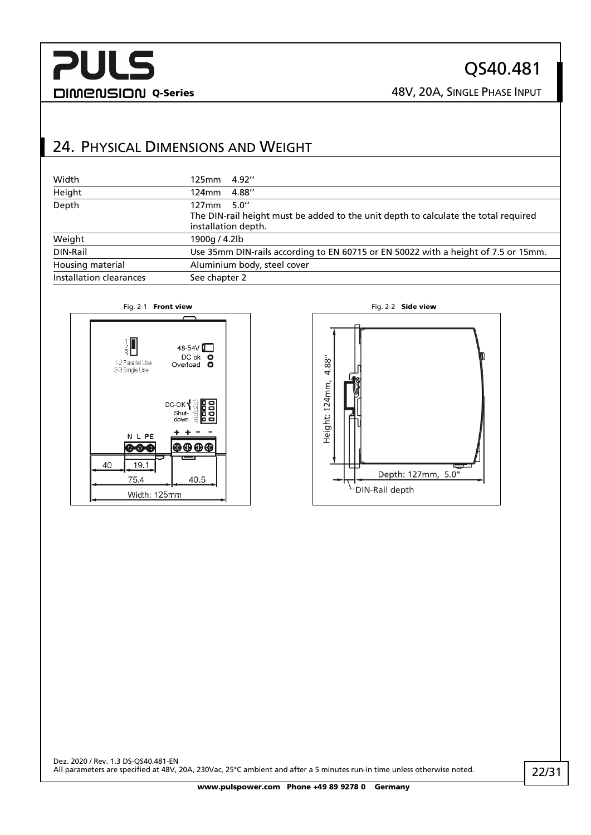## QS40.481

DIMENSION Q-Series 28V, 20A, SINGLE PHASE INPUT

## <span id="page-21-0"></span>24. PHYSICAL DIMENSIONS AND WEIGHT

| Width                   | 125mm 4.92"                                                                                                                  |  |
|-------------------------|------------------------------------------------------------------------------------------------------------------------------|--|
| Height                  | 4.88"<br>124mm                                                                                                               |  |
| Depth                   | 5.0''<br>127mm<br>The DIN-rail height must be added to the unit depth to calculate the total required<br>installation depth. |  |
| Weight                  | 1900g / 4.2lb                                                                                                                |  |
| DIN-Rail                | Use 35mm DIN-rails according to EN 60715 or EN 50022 with a height of 7.5 or 15mm.                                           |  |
| Housing material        | Aluminium body, steel cover                                                                                                  |  |
| Installation clearances | See chapter 2                                                                                                                |  |



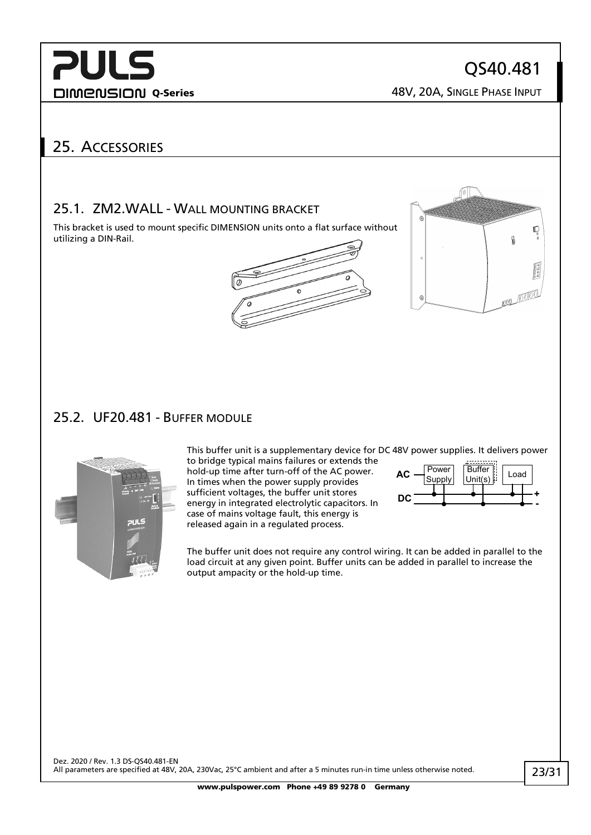QS40.481

DIMENSION Q-Series 28V, 20A, SINGLE PHASE INPUT

## <span id="page-22-0"></span>25. ACCESSORIES

### <span id="page-22-1"></span>25.1. ZM2.WALL - WALL MOUNTING BRACKET

This bracket is used to mount specific DIMENSION units onto a flat surface without utilizing a DIN-Rail.



hold-up time after turn-off of the AC power. In times when the power supply provides sufficient voltages, the buffer unit stores energy in integrated electrolytic capacitors. In case of mains voltage fault, this energy is released again in a regulated process.



## <span id="page-22-2"></span>25.2. UF20.481 - BUFFER MODULE



This buffer unit is a supplementary device for DC 48V power supplies. It delivers power to bridge typical mains failures or extends the



The buffer unit does not require any control wiring. It can be added in parallel to the load circuit at any given point. Buffer units can be added in parallel to increase the output ampacity or the hold-up time.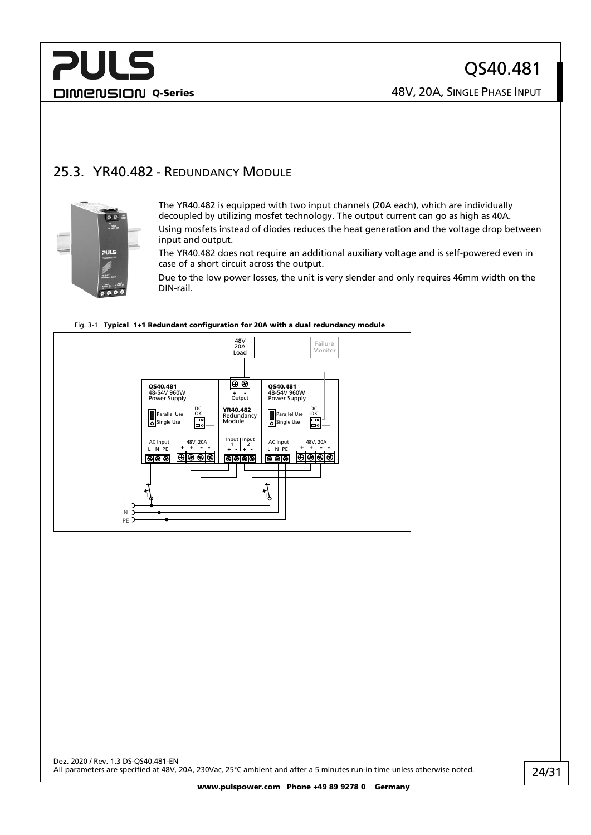## **PULS** DIMENSION Q-Series 28V, 20A, SINGLE PHASE INPUT

## <span id="page-23-0"></span>25.3. YR40.482 - REDUNDANCY MODULE



The YR40.482 is equipped with two input channels (20A each), which are individually decoupled by utilizing mosfet technology. The output current can go as high as 40A.

Using mosfets instead of diodes reduces the heat generation and the voltage drop between input and output.

The YR40.482 does not require an additional auxiliary voltage and is self-powered even in case of a short circuit across the output.

Due to the low power losses, the unit is very slender and only requires 46mm width on the DIN-rail.



#### Fig. 3-1 Typical 1+1 Redundant configuration for 20A with a dual redundancy module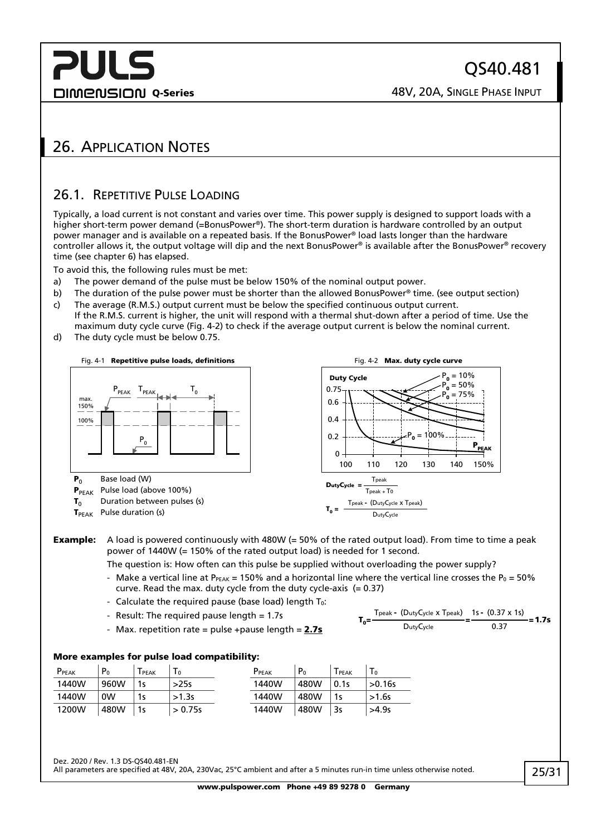**DIMENSION Q-Series CONSIGING A SINGLE PHASE INPUT** 

## <span id="page-24-1"></span><span id="page-24-0"></span>26. APPLICATION NOTES

### 26.1. REPETITIVE PULSE LOADING

Typically, a load current is not constant and varies over time. This power supply is designed to support loads with a higher short-term power demand (=BonusPower®). The short-term duration is hardware controlled by an output power manager and is available on a repeated basis. If the BonusPower® load lasts longer than the hardware controller allows it, the output voltage will dip and the next BonusPower® is available after the BonusPower® recovery time (see chapter [6\)](#page-6-0) has elapsed.

To avoid this, the following rules must be met:

- a) The power demand of the pulse must be below 150% of the nominal output power.
- b) The duration of the pulse power must be shorter than the allowed BonusPower® time. (see output section)
- c) The average (R.M.S.) output current must be below the specified continuous output current. If the R.M.S. current is higher, the unit will respond with a thermal shut-down after a period of time. Use the maximum duty cycle curve [\(Fig. 4-2\)](#page-24-2) to check if the average output current is below the nominal current.
- d) The duty cycle must be below 0.75.



**Example:** A load is powered continuously with 480W ( $= 50\%$  of the rated output load). From time to time a peak power of 1440W (= 150% of the rated output load) is needed for 1 second.

The question is: How often can this pulse be supplied without overloading the power supply?

- Make a vertical line at P $_{PEAK}$  = 150% and a horizontal line where the vertical line crosses the P<sub>0</sub> = 50% curve. Read the max. duty cycle from the duty cycle-axis  $(= 0.37)$
- Calculate the required pause (base load) length  $T_0$ :
- Result: The required pause length  $= 1.7$ s
- Max. repetition rate = pulse +pause length =  $2.7s$

<span id="page-24-2"></span>
$$
T_0 = \frac{T_{\text{peak}} - (D_{\text{uty}}C_{\text{ycle}} \times T_{\text{peak}})}{D_{\text{uty}}C_{\text{ycle}}} = \frac{1s - (0.37 \times 1s)}{0.37} = 1.7s
$$

#### More examples for pulse load compatibility:

| P <sub>PEAK</sub> | P <sub>0</sub> | PEAK | $\mathbf{1} \mathbf{0}$ | PPEAK | P <sub>0</sub> | ${\sf T}_{\sf PEAK}$ | $\overline{0}$ |
|-------------------|----------------|------|-------------------------|-------|----------------|----------------------|----------------|
| 1440W             | 960W           | 1s   | >25s                    | 1440W | 480W           | 0.1s                 | >0.16s         |
| 1440W             | 0W             |      | >1.3s                   | 1440W | 480W           | 1s                   | $>1.6s$        |
| 1200W             | 480W           | 1s   | > 0.75s                 | 1440W | 480W           | 3s                   | >4.9s          |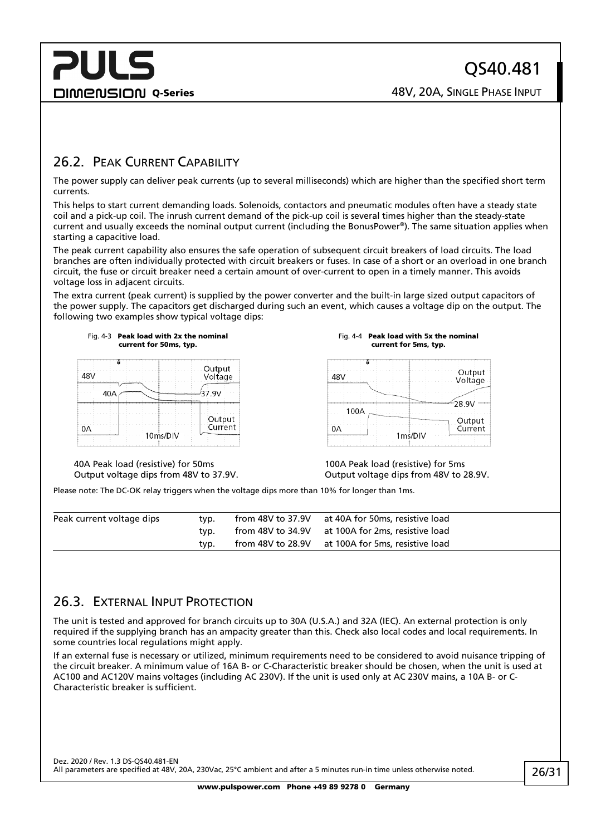## **PULS DIMENSION Q-Series CONSIGNATION Q-Series CONSIGNATION Q-Series CONSIGNATION ASSEMBLE PHASE INPUT**

### <span id="page-25-0"></span>26.2. PEAK CURRENT CAPABILITY

The power supply can deliver peak currents (up to several milliseconds) which are higher than the specified short term currents.

This helps to start current demanding loads. Solenoids, contactors and pneumatic modules often have a steady state coil and a pick-up coil. The inrush current demand of the pick-up coil is several times higher than the steady-state current and usually exceeds the nominal output current (including the BonusPower®). The same situation applies when starting a capacitive load.

The peak current capability also ensures the safe operation of subsequent circuit breakers of load circuits. The load branches are often individually protected with circuit breakers or fuses. In case of a short or an overload in one branch circuit, the fuse or circuit breaker need a certain amount of over-current to open in a timely manner. This avoids voltage loss in adjacent circuits.

The extra current (peak current) is supplied by the power converter and the built-in large sized output capacitors of the power supply. The capacitors get discharged during such an event, which causes a voltage dip on the output. The following two examples show typical voltage dips:



Fig. 4-4 Peak load with 5x the nominal current for 5ms, typ.

| 18\/          | Output<br>Voltage |
|---------------|-------------------|
| 100A          | 28.9V             |
| ΛΔ<br>1ms/DIV | Output<br>Current |

40A Peak load (resistive) for 50ms Output voltage dips from 48V to 37.9V. 100A Peak load (resistive) for 5ms Output voltage dips from 48V to 28.9V.

Please note: The DC-OK relay triggers when the voltage dips more than 10% for longer than 1ms.

| Peak current voltage dips | tvp. | from 48V to 37.9V at 40A for 50ms, resistive load |  |
|---------------------------|------|---------------------------------------------------|--|
|                           | tvp. | from 48V to 34.9V at 100A for 2ms, resistive load |  |
|                           | tvp. | from 48V to 28.9V at 100A for 5ms, resistive load |  |

### <span id="page-25-1"></span>26.3. EXTERNAL INPUT PROTECTION

The unit is tested and approved for branch circuits up to 30A (U.S.A.) and 32A (IEC). An external protection is only required if the supplying branch has an ampacity greater than this. Check also local codes and local requirements. In some countries local regulations might apply.

If an external fuse is necessary or utilized, minimum requirements need to be considered to avoid nuisance tripping of the circuit breaker. A minimum value of 16A B- or C-Characteristic breaker should be chosen, when the unit is used at AC100 and AC120V mains voltages (including AC 230V). If the unit is used only at AC 230V mains, a 10A B- or C-Characteristic breaker is sufficient.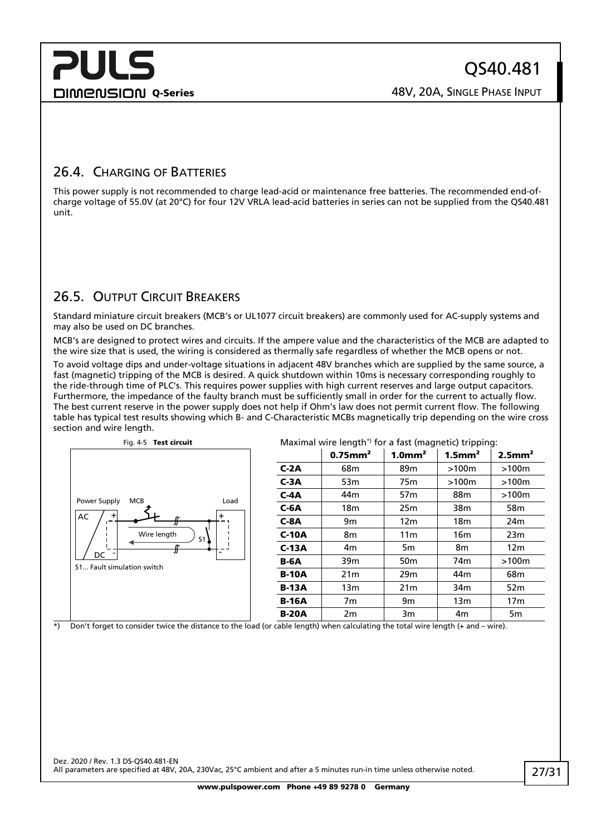## **PULS DIMENSION Q-Series CONSIGING A SINGLE PHASE INPUT**

## <span id="page-26-0"></span>26.4. CHARGING OF BATTERIES

This power supply is not recommended to charge lead-acid or maintenance free batteries. The recommended end-ofcharge voltage of 55.0V (at 20°C) for four 12V VRLA lead-acid batteries in series can not be supplied from the QS40.481 unit.

## <span id="page-26-1"></span>26.5. OUTPUT CIRCUIT BREAKERS

Standard miniature circuit breakers (MCB's or UL1077 circuit breakers) are commonly used for AC-supply systems and may also be used on DC branches.

MCB's are designed to protect wires and circuits. If the ampere value and the characteristics of the MCB are adapted to the wire size that is used, the wiring is considered as thermally safe regardless of whether the MCB opens or not.

To avoid voltage dips and under-voltage situations in adjacent 48V branches which are supplied by the same source, a fast (magnetic) tripping of the MCB is desired. A quick shutdown within 10ms is necessary corresponding roughly to the ride-through time of PLC's. This requires power supplies with high current reserves and large output capacitors. Furthermore, the impedance of the faulty branch must be sufficiently small in order for the current to actually flow. The best current reserve in the power supply does not help if Ohm's law does not permit current flow. The following table has typical test results showing which B- and C-Characteristic MCBs magnetically trip depending on the wire cross section and wire length.



\*) Don't forget to consider twice the distance to the load (or cable length) when calculating the total wire length (+ and – wire).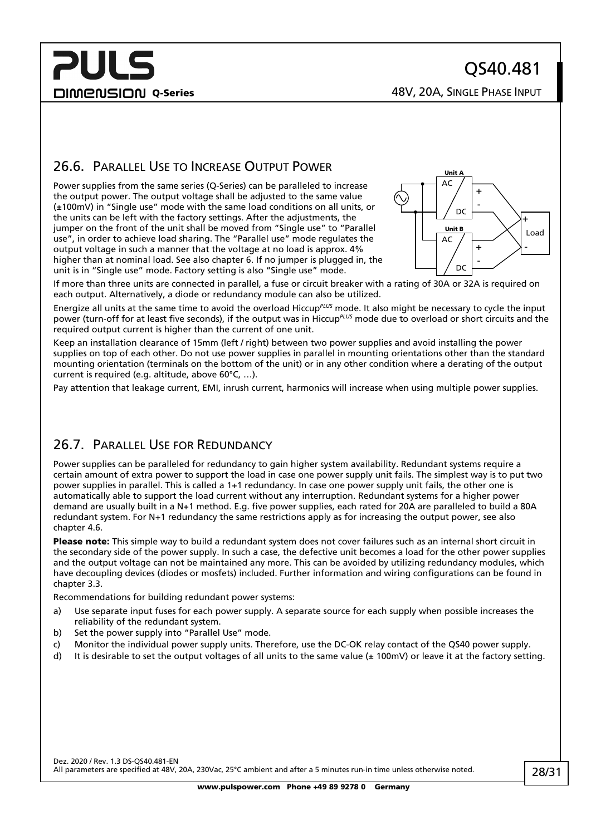## **PULS DIMENSION Q-Series CONSIGNATION Q-Series CONSIGNATION Q-Series CONSIGNATION ASSEMBLE PHASE INPUT**

### <span id="page-27-0"></span>26.6. PARALLEL USE TO INCREASE OUTPUT POWER

Power supplies from the same series (Q-Series) can be paralleled to increase the output power. The output voltage shall be adjusted to the same value (±100mV) in "Single use" mode with the same load conditions on all units, or the units can be left with the factory settings. After the adjustments, the jumper on the front of the unit shall be moved from "Single use" to "Parallel use", in order to achieve load sharing. The "Parallel use" mode regulates the output voltage in such a manner that the voltage at no load is approx. 4% higher than at nominal load. See also chapte[r 6.](#page-6-0) If no jumper is plugged in, the unit is in "Single use" mode. Factory setting is also "Single use" mode.



If more than three units are connected in parallel, a fuse or circuit breaker with a rating of 30A or 32A is required on each output. Alternatively, a diode or redundancy module can also be utilized.

Energize all units at the same time to avoid the overload Hiccup*PLUS* mode. It also might be necessary to cycle the input power (turn-off for at least five seconds), if the output was in Hiccup*PLUS* mode due to overload or short circuits and the required output current is higher than the current of one unit.

Keep an installation clearance of 15mm (left / right) between two power supplies and avoid installing the power supplies on top of each other. Do not use power supplies in parallel in mounting orientations other than the standard mounting orientation (terminals on the bottom of the unit) or in any other condition where a derating of the output current is required (e.g. altitude, above 60°C, …).

<span id="page-27-1"></span>Pay attention that leakage current, EMI, inrush current, harmonics will increase when using multiple power supplies.

### 26.7. PARALLEL USE FOR REDUNDANCY

Power supplies can be paralleled for redundancy to gain higher system availability. Redundant systems require a certain amount of extra power to support the load in case one power supply unit fails. The simplest way is to put two power supplies in parallel. This is called a 1+1 redundancy. In case one power supply unit fails, the other one is automatically able to support the load current without any interruption. Redundant systems for a higher power demand are usually built in a N+1 method. E.g. five power supplies, each rated for 20A are paralleled to build a 80A redundant system. For N+1 redundancy the same restrictions apply as for increasing the output power, see also chapter [4.6.](#page-27-0)

Please note: This simple way to build a redundant system does not cover failures such as an internal short circuit in the secondary side of the power supply. In such a case, the defective unit becomes a load for the other power supplies and the output voltage can not be maintained any more. This can be avoided by utilizing redundancy modules, which have decoupling devices (diodes or mosfets) included. Further information and wiring configurations can be found in chapter [3.3.](#page-23-0)

Recommendations for building redundant power systems:

- a) Use separate input fuses for each power supply. A separate source for each supply when possible increases the reliability of the redundant system.
- b) Set the power supply into "Parallel Use" mode.
- c) Monitor the individual power supply units. Therefore, use the DC-OK relay contact of the QS40 power supply.
- d) It is desirable to set the output voltages of all units to the same value ( $\pm$  100mV) or leave it at the factory setting.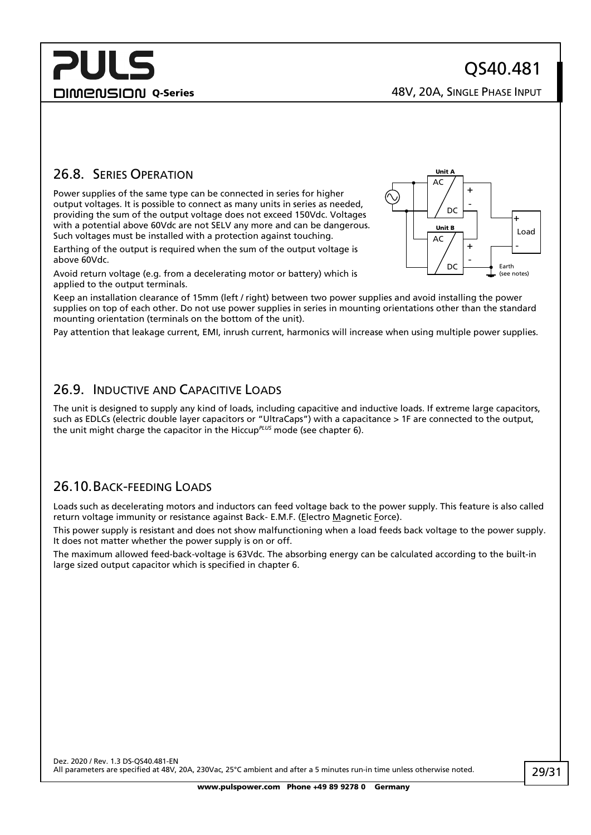**DIMENSION Q-Series CONSIGING A SINGLE PHASE INPUT** 

### <span id="page-28-0"></span>26.8. SERIES OPERATION

Power supplies of the same type can be connected in series for higher output voltages. It is possible to connect as many units in series as needed, providing the sum of the output voltage does not exceed 150Vdc. Voltages with a potential above 60Vdc are not SELV any more and can be dangerous. Such voltages must be installed with a protection against touching.

Earthing of the output is required when the sum of the output voltage is above 60Vdc.

Avoid return voltage (e.g. from a decelerating motor or battery) which is applied to the output terminals.

Keep an installation clearance of 15mm (left / right) between two power supplies and avoid installing the power supplies on top of each other. Do not use power supplies in series in mounting orientations other than the standard mounting orientation (terminals on the bottom of the unit).

<span id="page-28-1"></span>Pay attention that leakage current, EMI, inrush current, harmonics will increase when using multiple power supplies.

### 26.9. INDUCTIVE AND CAPACITIVE LOADS

The unit is designed to supply any kind of loads, including capacitive and inductive loads. If extreme large capacitors, such as EDLCs (electric double layer capacitors or "UltraCaps") with a capacitance > 1F are connected to the output, the unit might charge the capacitor in the Hiccup*PLUS* mode (see chapter [6\)](#page-6-0).

### <span id="page-28-2"></span>26.10.BACK-FEEDING LOADS

Loads such as decelerating motors and inductors can feed voltage back to the power supply. This feature is also called return voltage immunity or resistance against Back- E.M.F. (Electro Magnetic Force).

This power supply is resistant and does not show malfunctioning when a load feeds back voltage to the power supply. It does not matter whether the power supply is on or off.

The maximum allowed feed-back-voltage is 63Vdc. The absorbing energy can be calculated according to the built-in large sized output capacitor which is specified in chapter [6.](#page-6-0)

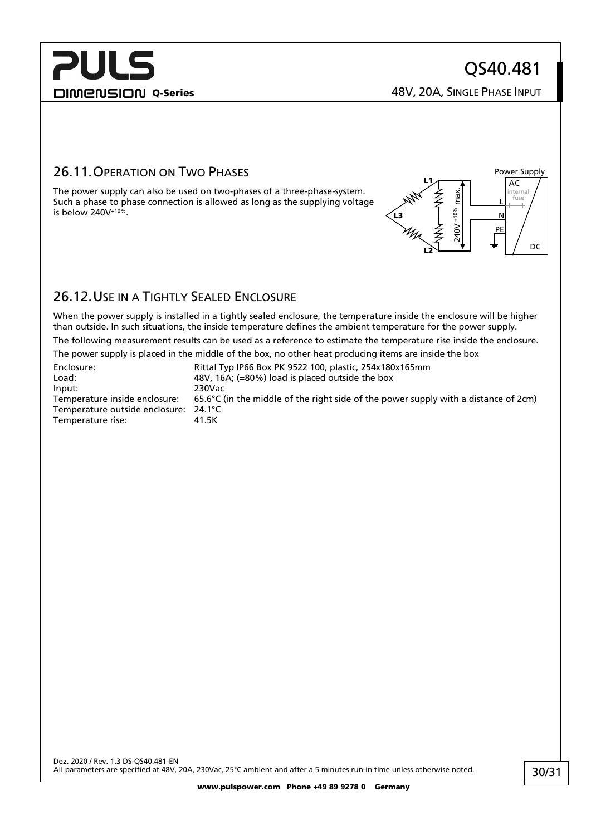L N PE

Power Supply AC

> internal fuse

> > DC

DIMENSION Q-Series 28V, 20A, SINGLE PHASE INPUT

 $240V + 10%$  max.

%01+ V0tz

max.

L2

L3

L1

### <span id="page-29-0"></span>26.11.OPERATION ON TWO PHASES

The power supply can also be used on two-phases of a three-phase-system. Such a phase to phase connection is allowed as long as the supplying voltage is below  $240V^{+10\%}$ .

<span id="page-29-1"></span>

When the power supply is installed in a tightly sealed enclosure, the temperature inside the enclosure will be higher than outside. In such situations, the inside temperature defines the ambient temperature for the power supply.

The following measurement results can be used as a reference to estimate the temperature rise inside the enclosure.

The power supply is placed in the middle of the box, no other heat producing items are inside the box

| Enclosure:                            | Rittal Typ IP66 Box PK 9522 100, plastic, 254x180x165mm                                       |
|---------------------------------------|-----------------------------------------------------------------------------------------------|
| Load:                                 | 48V, 16A; (=80%) load is placed outside the box                                               |
| Input:                                | 230Vac                                                                                        |
| Temperature inside enclosure:         | 65.6 $\degree$ C (in the middle of the right side of the power supply with a distance of 2cm) |
| Temperature outside enclosure: 24.1°C |                                                                                               |
| Temperature rise:                     | 41.5K                                                                                         |